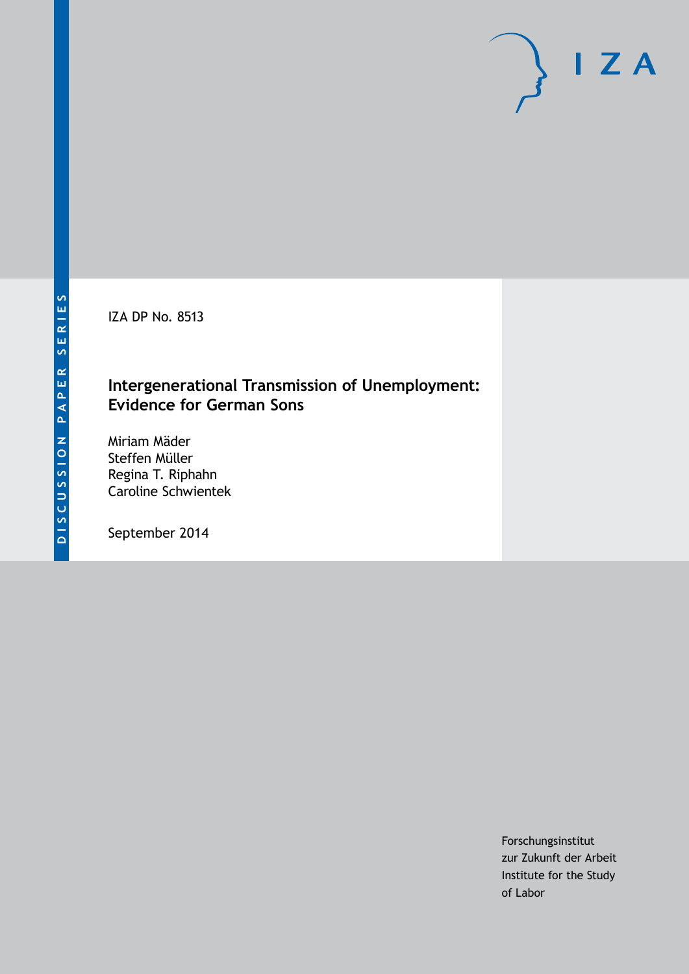IZA DP No. 8513

### **Intergenerational Transmission of Unemployment: Evidence for German Sons**

Miriam Mäder Steffen Müller Regina T. Riphahn Caroline Schwientek

September 2014

Forschungsinstitut zur Zukunft der Arbeit Institute for the Study of Labor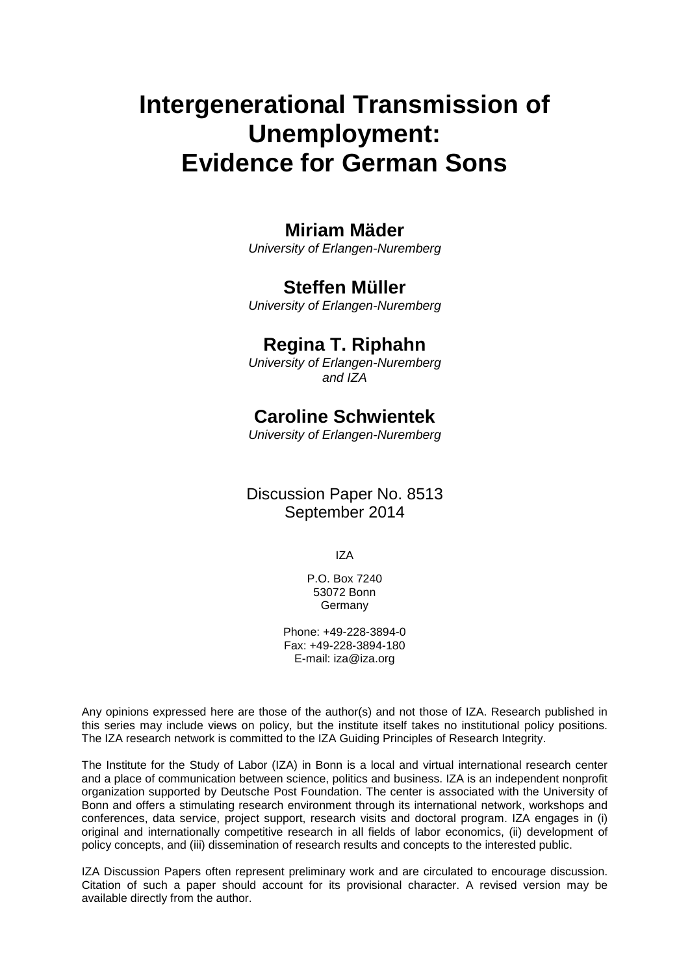# **Intergenerational Transmission of Unemployment: Evidence for German Sons**

### **Miriam Mäder**

*University of Erlangen-Nuremberg*

### **Steffen Müller**

*University of Erlangen-Nuremberg*

### **Regina T. Riphahn**

*University of Erlangen-Nuremberg and IZA*

## **Caroline Schwientek**

*University of Erlangen-Nuremberg*

Discussion Paper No. 8513 September 2014

IZA

P.O. Box 7240 53072 Bonn **Germany** 

Phone: +49-228-3894-0 Fax: +49-228-3894-180 E-mail: [iza@iza.org](mailto:iza@iza.org)

Any opinions expressed here are those of the author(s) and not those of IZA. Research published in this series may include views on policy, but the institute itself takes no institutional policy positions. The IZA research network is committed to the IZA Guiding Principles of Research Integrity.

The Institute for the Study of Labor (IZA) in Bonn is a local and virtual international research center and a place of communication between science, politics and business. IZA is an independent nonprofit organization supported by Deutsche Post Foundation. The center is associated with the University of Bonn and offers a stimulating research environment through its international network, workshops and conferences, data service, project support, research visits and doctoral program. IZA engages in (i) original and internationally competitive research in all fields of labor economics, (ii) development of policy concepts, and (iii) dissemination of research results and concepts to the interested public.

<span id="page-1-0"></span>IZA Discussion Papers often represent preliminary work and are circulated to encourage discussion. Citation of such a paper should account for its provisional character. A revised version may be available directly from the author.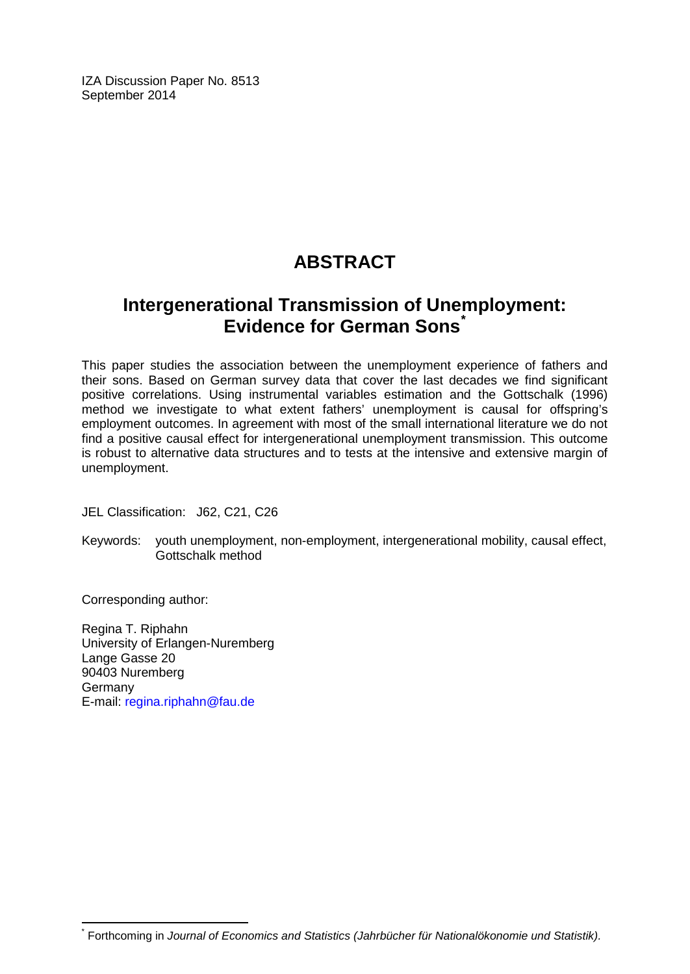IZA Discussion Paper No. 8513 September 2014

# **ABSTRACT**

# **Intergenerational Transmission of Unemployment: Evidence for German Sons[\\*](#page-1-0)**

This paper studies the association between the unemployment experience of fathers and their sons. Based on German survey data that cover the last decades we find significant positive correlations. Using instrumental variables estimation and the Gottschalk (1996) method we investigate to what extent fathers' unemployment is causal for offspring's employment outcomes. In agreement with most of the small international literature we do not find a positive causal effect for intergenerational unemployment transmission. This outcome is robust to alternative data structures and to tests at the intensive and extensive margin of unemployment.

JEL Classification: J62, C21, C26

Keywords: youth unemployment, non-employment, intergenerational mobility, causal effect, Gottschalk method

Corresponding author:

Regina T. Riphahn University of Erlangen-Nuremberg Lange Gasse 20 90403 Nuremberg Germany E-mail: [regina.riphahn@fau.de](mailto:regina.riphahn@fau.de)

\* Forthcoming in *Journal of Economics and Statistics (Jahrbücher für Nationalökonomie und Statistik).*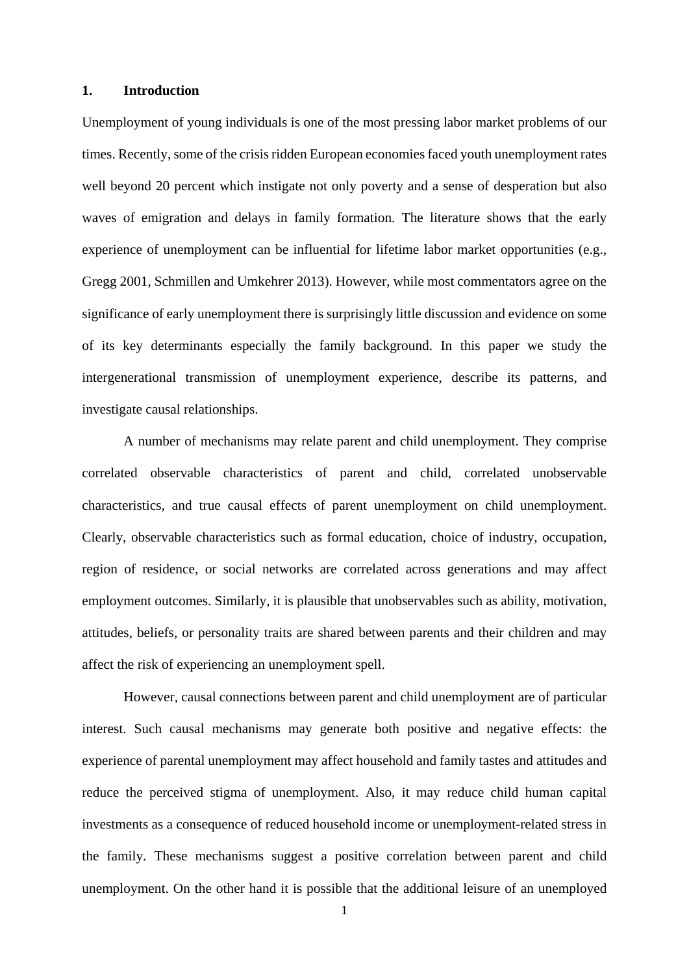#### **1. Introduction**

Unemployment of young individuals is one of the most pressing labor market problems of our times. Recently, some of the crisis ridden European economies faced youth unemployment rates well beyond 20 percent which instigate not only poverty and a sense of desperation but also waves of emigration and delays in family formation. The literature shows that the early experience of unemployment can be influential for lifetime labor market opportunities (e.g., Gregg 2001, Schmillen and Umkehrer 2013). However, while most commentators agree on the significance of early unemployment there is surprisingly little discussion and evidence on some of its key determinants especially the family background. In this paper we study the intergenerational transmission of unemployment experience, describe its patterns, and investigate causal relationships.

 A number of mechanisms may relate parent and child unemployment. They comprise correlated observable characteristics of parent and child, correlated unobservable characteristics, and true causal effects of parent unemployment on child unemployment. Clearly, observable characteristics such as formal education, choice of industry, occupation, region of residence, or social networks are correlated across generations and may affect employment outcomes. Similarly, it is plausible that unobservables such as ability, motivation, attitudes, beliefs, or personality traits are shared between parents and their children and may affect the risk of experiencing an unemployment spell.

However, causal connections between parent and child unemployment are of particular interest. Such causal mechanisms may generate both positive and negative effects: the experience of parental unemployment may affect household and family tastes and attitudes and reduce the perceived stigma of unemployment. Also, it may reduce child human capital investments as a consequence of reduced household income or unemployment-related stress in the family. These mechanisms suggest a positive correlation between parent and child unemployment. On the other hand it is possible that the additional leisure of an unemployed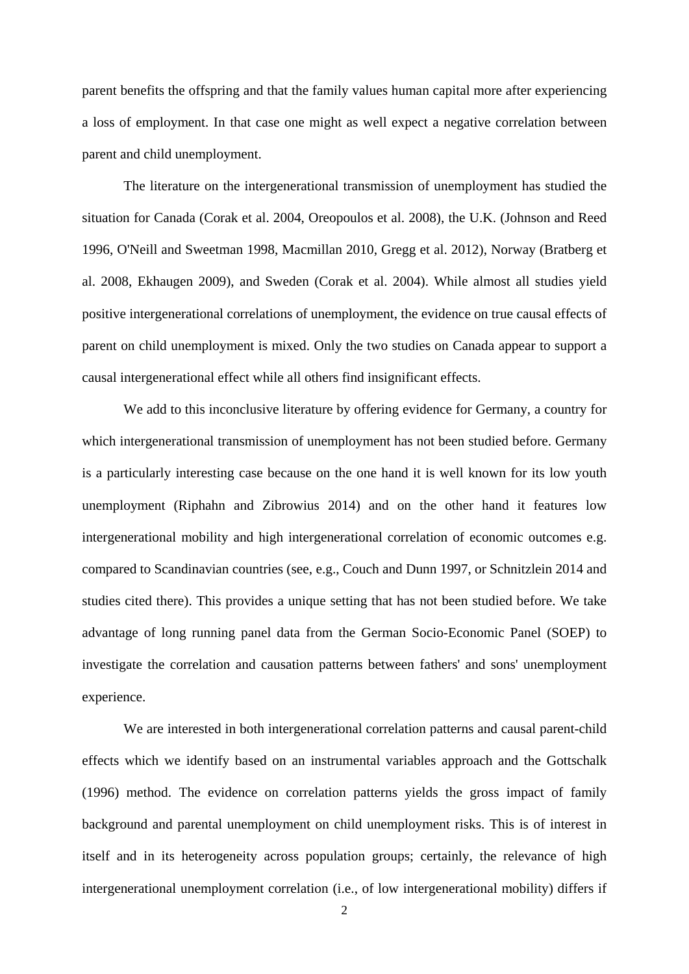parent benefits the offspring and that the family values human capital more after experiencing a loss of employment. In that case one might as well expect a negative correlation between parent and child unemployment.

 The literature on the intergenerational transmission of unemployment has studied the situation for Canada (Corak et al. 2004, Oreopoulos et al. 2008), the U.K. (Johnson and Reed 1996, O'Neill and Sweetman 1998, Macmillan 2010, Gregg et al. 2012), Norway (Bratberg et al. 2008, Ekhaugen 2009), and Sweden (Corak et al. 2004). While almost all studies yield positive intergenerational correlations of unemployment, the evidence on true causal effects of parent on child unemployment is mixed. Only the two studies on Canada appear to support a causal intergenerational effect while all others find insignificant effects.

 We add to this inconclusive literature by offering evidence for Germany, a country for which intergenerational transmission of unemployment has not been studied before. Germany is a particularly interesting case because on the one hand it is well known for its low youth unemployment (Riphahn and Zibrowius 2014) and on the other hand it features low intergenerational mobility and high intergenerational correlation of economic outcomes e.g. compared to Scandinavian countries (see, e.g., Couch and Dunn 1997, or Schnitzlein 2014 and studies cited there). This provides a unique setting that has not been studied before. We take advantage of long running panel data from the German Socio-Economic Panel (SOEP) to investigate the correlation and causation patterns between fathers' and sons' unemployment experience.

 We are interested in both intergenerational correlation patterns and causal parent-child effects which we identify based on an instrumental variables approach and the Gottschalk (1996) method. The evidence on correlation patterns yields the gross impact of family background and parental unemployment on child unemployment risks. This is of interest in itself and in its heterogeneity across population groups; certainly, the relevance of high intergenerational unemployment correlation (i.e., of low intergenerational mobility) differs if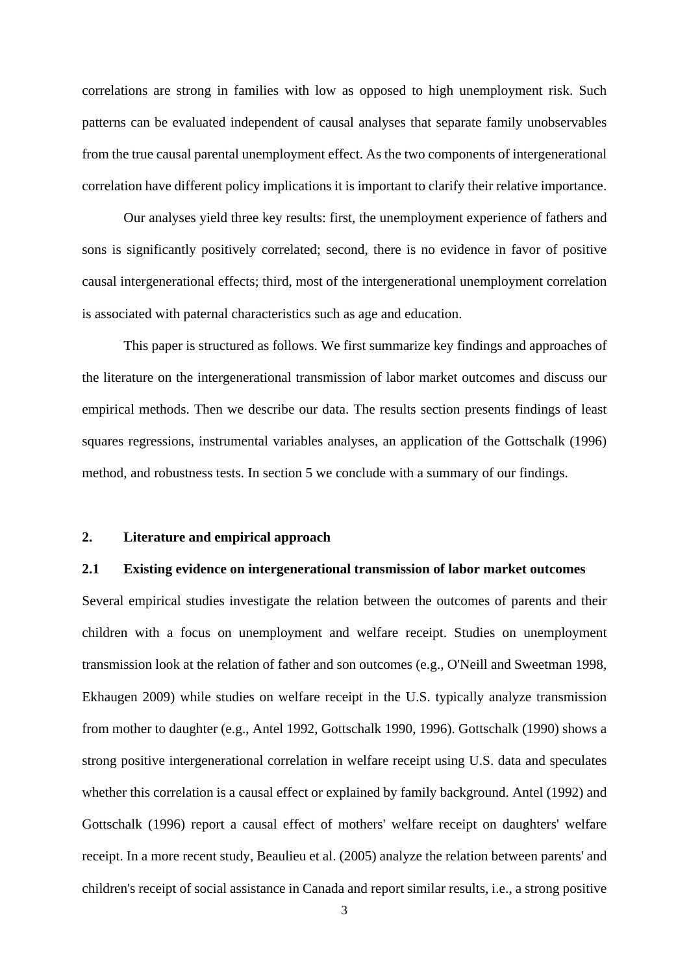correlations are strong in families with low as opposed to high unemployment risk. Such patterns can be evaluated independent of causal analyses that separate family unobservables from the true causal parental unemployment effect. As the two components of intergenerational correlation have different policy implications it is important to clarify their relative importance.

Our analyses yield three key results: first, the unemployment experience of fathers and sons is significantly positively correlated; second, there is no evidence in favor of positive causal intergenerational effects; third, most of the intergenerational unemployment correlation is associated with paternal characteristics such as age and education.

 This paper is structured as follows. We first summarize key findings and approaches of the literature on the intergenerational transmission of labor market outcomes and discuss our empirical methods. Then we describe our data. The results section presents findings of least squares regressions, instrumental variables analyses, an application of the Gottschalk (1996) method, and robustness tests. In section 5 we conclude with a summary of our findings.

#### **2. Literature and empirical approach**

#### **2.1 Existing evidence on intergenerational transmission of labor market outcomes**

Several empirical studies investigate the relation between the outcomes of parents and their children with a focus on unemployment and welfare receipt. Studies on unemployment transmission look at the relation of father and son outcomes (e.g., O'Neill and Sweetman 1998, Ekhaugen 2009) while studies on welfare receipt in the U.S. typically analyze transmission from mother to daughter (e.g., Antel 1992, Gottschalk 1990, 1996). Gottschalk (1990) shows a strong positive intergenerational correlation in welfare receipt using U.S. data and speculates whether this correlation is a causal effect or explained by family background. Antel (1992) and Gottschalk (1996) report a causal effect of mothers' welfare receipt on daughters' welfare receipt. In a more recent study, Beaulieu et al. (2005) analyze the relation between parents' and children's receipt of social assistance in Canada and report similar results, i.e., a strong positive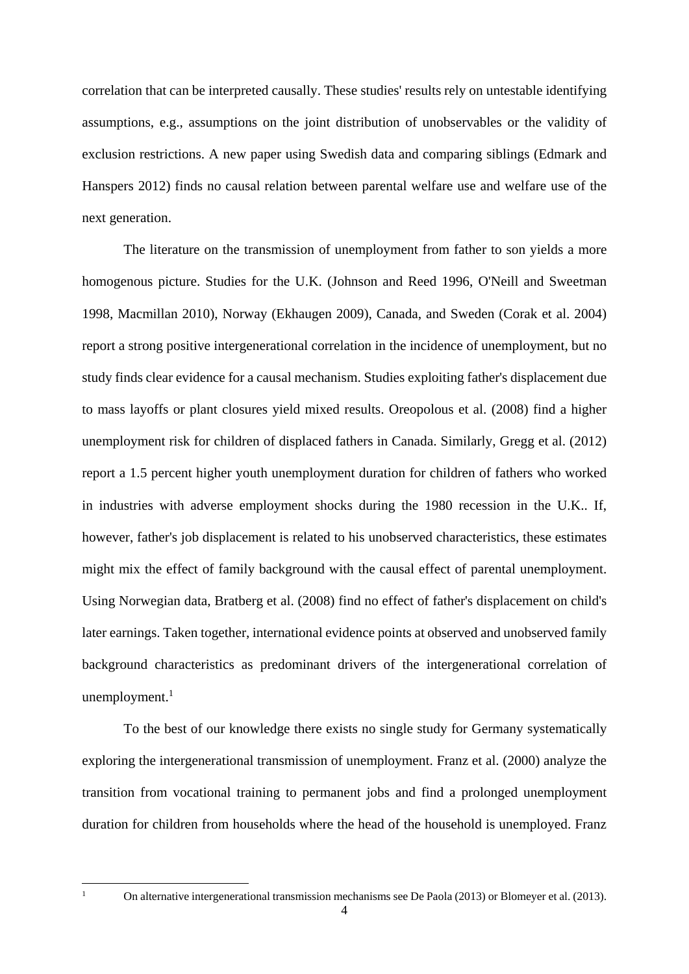correlation that can be interpreted causally. These studies' results rely on untestable identifying assumptions, e.g., assumptions on the joint distribution of unobservables or the validity of exclusion restrictions. A new paper using Swedish data and comparing siblings (Edmark and Hanspers 2012) finds no causal relation between parental welfare use and welfare use of the next generation.

The literature on the transmission of unemployment from father to son yields a more homogenous picture. Studies for the U.K. (Johnson and Reed 1996, O'Neill and Sweetman 1998, Macmillan 2010), Norway (Ekhaugen 2009), Canada, and Sweden (Corak et al. 2004) report a strong positive intergenerational correlation in the incidence of unemployment, but no study finds clear evidence for a causal mechanism. Studies exploiting father's displacement due to mass layoffs or plant closures yield mixed results. Oreopolous et al. (2008) find a higher unemployment risk for children of displaced fathers in Canada. Similarly, Gregg et al. (2012) report a 1.5 percent higher youth unemployment duration for children of fathers who worked in industries with adverse employment shocks during the 1980 recession in the U.K.. If, however, father's job displacement is related to his unobserved characteristics, these estimates might mix the effect of family background with the causal effect of parental unemployment. Using Norwegian data, Bratberg et al. (2008) find no effect of father's displacement on child's later earnings. Taken together, international evidence points at observed and unobserved family background characteristics as predominant drivers of the intergenerational correlation of unemployment.<sup>1</sup>

To the best of our knowledge there exists no single study for Germany systematically exploring the intergenerational transmission of unemployment. Franz et al. (2000) analyze the transition from vocational training to permanent jobs and find a prolonged unemployment duration for children from households where the head of the household is unemployed. Franz

1

On alternative intergenerational transmission mechanisms see De Paola (2013) or Blomeyer et al. (2013).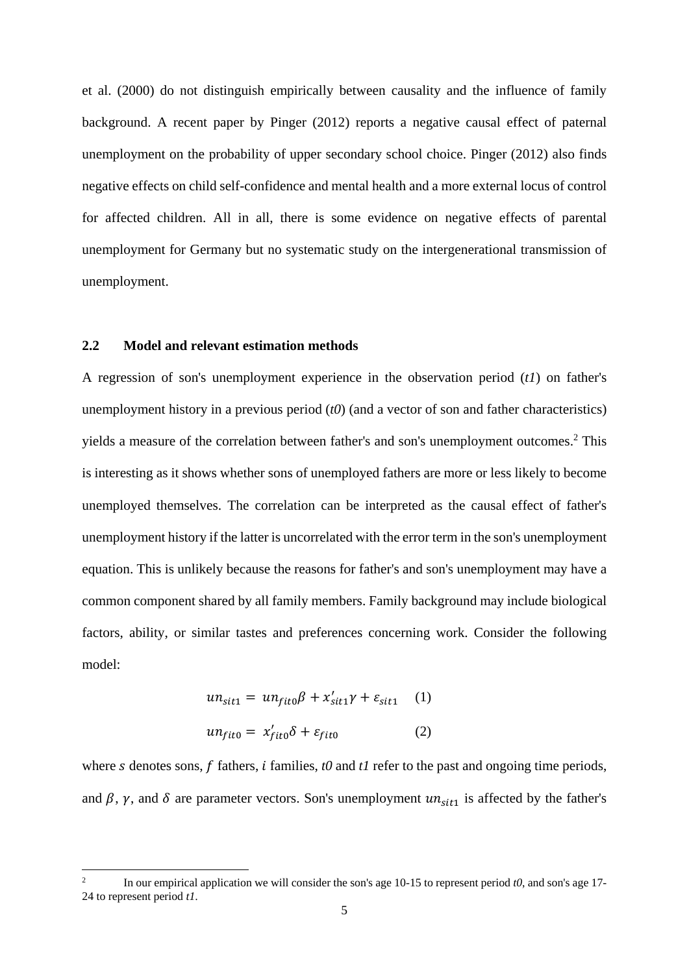et al. (2000) do not distinguish empirically between causality and the influence of family background. A recent paper by Pinger (2012) reports a negative causal effect of paternal unemployment on the probability of upper secondary school choice. Pinger (2012) also finds negative effects on child self-confidence and mental health and a more external locus of control for affected children. All in all, there is some evidence on negative effects of parental unemployment for Germany but no systematic study on the intergenerational transmission of unemployment.

#### **2.2 Model and relevant estimation methods**

A regression of son's unemployment experience in the observation period (*t1*) on father's unemployment history in a previous period (*t0*) (and a vector of son and father characteristics) yields a measure of the correlation between father's and son's unemployment outcomes.<sup>2</sup> This is interesting as it shows whether sons of unemployed fathers are more or less likely to become unemployed themselves. The correlation can be interpreted as the causal effect of father's unemployment history if the latter is uncorrelated with the error term in the son's unemployment equation. This is unlikely because the reasons for father's and son's unemployment may have a common component shared by all family members. Family background may include biological factors, ability, or similar tastes and preferences concerning work. Consider the following model:

$$
un_{sit1} = un_{fit0}\beta + x'_{sit1}\gamma + \varepsilon_{sit1} \quad (1)
$$

$$
un_{fit0} = x'_{fit0}\delta + \varepsilon_{fit0} \quad (2)
$$

where s denotes sons, f fathers,  $i$  families,  $t0$  and  $t1$  refer to the past and ongoing time periods, and  $\beta$ ,  $\gamma$ , and  $\delta$  are parameter vectors. Son's unemployment  $un_{sit1}$  is affected by the father's

<sup>2</sup> In our empirical application we will consider the son's age 10-15 to represent period *t0*, and son's age 17- 24 to represent period *t1*.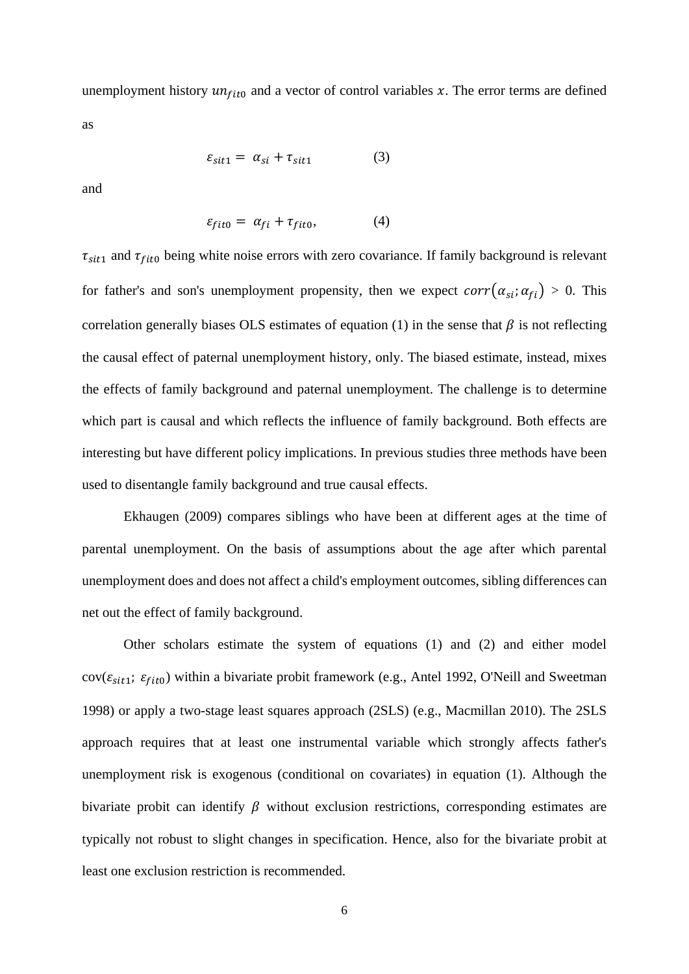unemployment history  $un_{fit0}$  and a vector of control variables x. The error terms are defined as

$$
\varepsilon_{\text{sit1}} = \alpha_{\text{si}} + \tau_{\text{sit1}} \tag{3}
$$

and

$$
\varepsilon_{fit0} = \alpha_{fi} + \tau_{fit0},\tag{4}
$$

 $\tau_{sit1}$  and  $\tau_{fit0}$  being white noise errors with zero covariance. If family background is relevant for father's and son's unemployment propensity, then we expect  $corr(\alpha_{si}; \alpha_{fi}) > 0$ . This correlation generally biases OLS estimates of equation (1) in the sense that  $\beta$  is not reflecting the causal effect of paternal unemployment history, only. The biased estimate, instead, mixes the effects of family background and paternal unemployment. The challenge is to determine which part is causal and which reflects the influence of family background. Both effects are interesting but have different policy implications. In previous studies three methods have been used to disentangle family background and true causal effects.

Ekhaugen (2009) compares siblings who have been at different ages at the time of parental unemployment. On the basis of assumptions about the age after which parental unemployment does and does not affect a child's employment outcomes, sibling differences can net out the effect of family background.

Other scholars estimate the system of equations (1) and (2) and either model cov( $\varepsilon_{sit1}$ ;  $\varepsilon_{fit0}$ ) within a bivariate probit framework (e.g., Antel 1992, O'Neill and Sweetman 1998) or apply a two-stage least squares approach (2SLS) (e.g., Macmillan 2010). The 2SLS approach requires that at least one instrumental variable which strongly affects father's unemployment risk is exogenous (conditional on covariates) in equation (1). Although the bivariate probit can identify  $\beta$  without exclusion restrictions, corresponding estimates are typically not robust to slight changes in specification. Hence, also for the bivariate probit at least one exclusion restriction is recommended.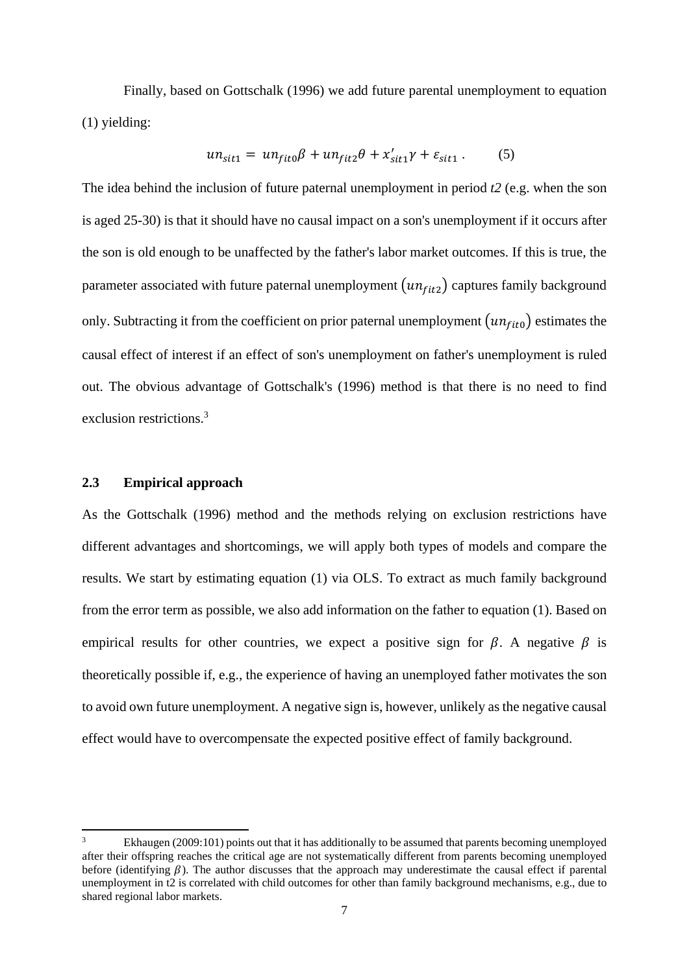Finally, based on Gottschalk (1996) we add future parental unemployment to equation (1) yielding:

$$
un_{sit1} = un_{fit0}\beta + un_{fit2}\theta + x'_{sit1}\gamma + \varepsilon_{sit1}.
$$
 (5)

The idea behind the inclusion of future paternal unemployment in period *t2* (e.g. when the son is aged 25-30) is that it should have no causal impact on a son's unemployment if it occurs after the son is old enough to be unaffected by the father's labor market outcomes. If this is true, the parameter associated with future paternal unemployment  $(in<sub>fit2</sub>)$  captures family background only. Subtracting it from the coefficient on prior paternal unemployment  $(in_{fit0})$  estimates the causal effect of interest if an effect of son's unemployment on father's unemployment is ruled out. The obvious advantage of Gottschalk's (1996) method is that there is no need to find exclusion restrictions.<sup>3</sup>

#### **2.3 Empirical approach**

As the Gottschalk (1996) method and the methods relying on exclusion restrictions have different advantages and shortcomings, we will apply both types of models and compare the results. We start by estimating equation (1) via OLS. To extract as much family background from the error term as possible, we also add information on the father to equation (1). Based on empirical results for other countries, we expect a positive sign for  $\beta$ . A negative  $\beta$  is theoretically possible if, e.g., the experience of having an unemployed father motivates the son to avoid own future unemployment. A negative sign is, however, unlikely as the negative causal effect would have to overcompensate the expected positive effect of family background.

<sup>3</sup> Ekhaugen (2009:101) points out that it has additionally to be assumed that parents becoming unemployed after their offspring reaches the critical age are not systematically different from parents becoming unemployed before (identifying  $\beta$ ). The author discusses that the approach may underestimate the causal effect if parental unemployment in t2 is correlated with child outcomes for other than family background mechanisms, e.g., due to shared regional labor markets.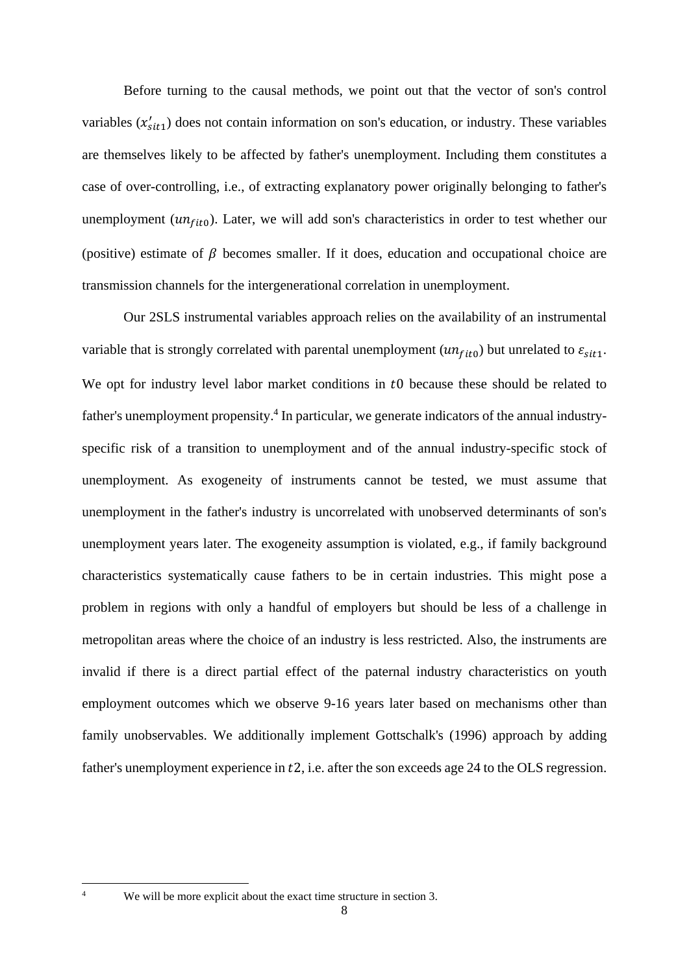Before turning to the causal methods, we point out that the vector of son's control variables  $(x'_{sit1})$  does not contain information on son's education, or industry. These variables are themselves likely to be affected by father's unemployment. Including them constitutes a case of over-controlling, i.e., of extracting explanatory power originally belonging to father's unemployment ( $un_{fit0}$ ). Later, we will add son's characteristics in order to test whether our (positive) estimate of  $\beta$  becomes smaller. If it does, education and occupational choice are transmission channels for the intergenerational correlation in unemployment.

Our 2SLS instrumental variables approach relies on the availability of an instrumental variable that is strongly correlated with parental unemployment ( $un_{fit0}$ ) but unrelated to  $\varepsilon_{sitt1}$ . We opt for industry level labor market conditions in  $t0$  because these should be related to father's unemployment propensity.<sup>4</sup> In particular, we generate indicators of the annual industryspecific risk of a transition to unemployment and of the annual industry-specific stock of unemployment. As exogeneity of instruments cannot be tested, we must assume that unemployment in the father's industry is uncorrelated with unobserved determinants of son's unemployment years later. The exogeneity assumption is violated, e.g., if family background characteristics systematically cause fathers to be in certain industries. This might pose a problem in regions with only a handful of employers but should be less of a challenge in metropolitan areas where the choice of an industry is less restricted. Also, the instruments are invalid if there is a direct partial effect of the paternal industry characteristics on youth employment outcomes which we observe 9-16 years later based on mechanisms other than family unobservables. We additionally implement Gottschalk's (1996) approach by adding father's unemployment experience in  $t^2$ , i.e. after the son exceeds age 24 to the OLS regression.

<sup>4</sup>

We will be more explicit about the exact time structure in section 3.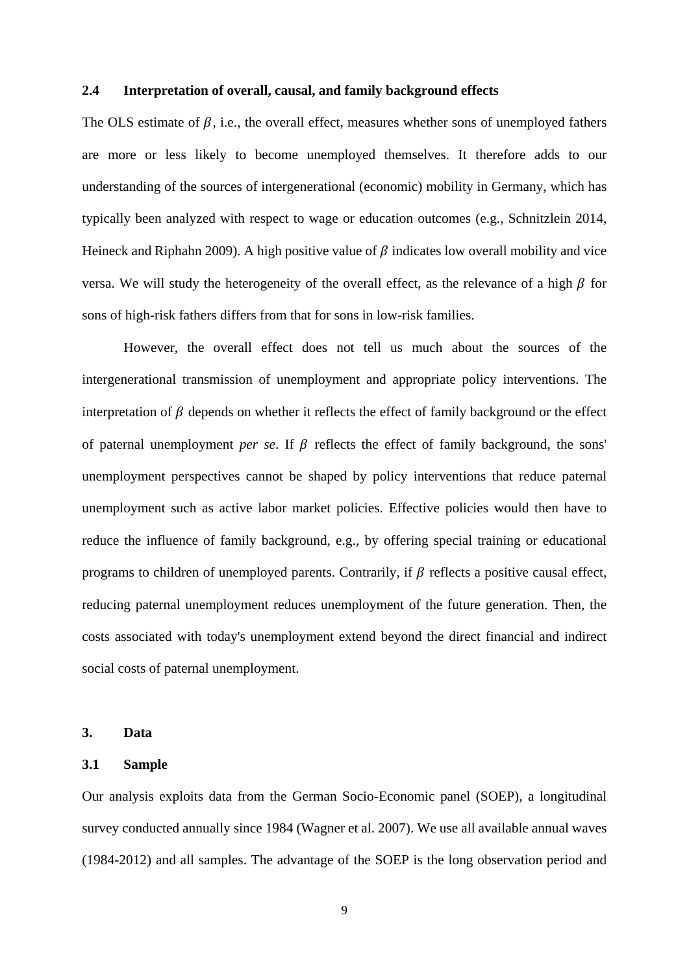#### **2.4 Interpretation of overall, causal, and family background effects**

The OLS estimate of  $\beta$ , i.e., the overall effect, measures whether sons of unemployed fathers are more or less likely to become unemployed themselves. It therefore adds to our understanding of the sources of intergenerational (economic) mobility in Germany, which has typically been analyzed with respect to wage or education outcomes (e.g., Schnitzlein 2014, Heineck and Riphahn 2009). A high positive value of  $\beta$  indicates low overall mobility and vice versa. We will study the heterogeneity of the overall effect, as the relevance of a high  $\beta$  for sons of high-risk fathers differs from that for sons in low-risk families.

However, the overall effect does not tell us much about the sources of the intergenerational transmission of unemployment and appropriate policy interventions. The interpretation of  $\beta$  depends on whether it reflects the effect of family background or the effect of paternal unemployment *per se*. If  $\beta$  reflects the effect of family background, the sons' unemployment perspectives cannot be shaped by policy interventions that reduce paternal unemployment such as active labor market policies. Effective policies would then have to reduce the influence of family background, e.g., by offering special training or educational programs to children of unemployed parents. Contrarily, if  $\beta$  reflects a positive causal effect, reducing paternal unemployment reduces unemployment of the future generation. Then, the costs associated with today's unemployment extend beyond the direct financial and indirect social costs of paternal unemployment.

#### **3. Data**

#### **3.1 Sample**

Our analysis exploits data from the German Socio-Economic panel (SOEP), a longitudinal survey conducted annually since 1984 (Wagner et al. 2007). We use all available annual waves (1984-2012) and all samples. The advantage of the SOEP is the long observation period and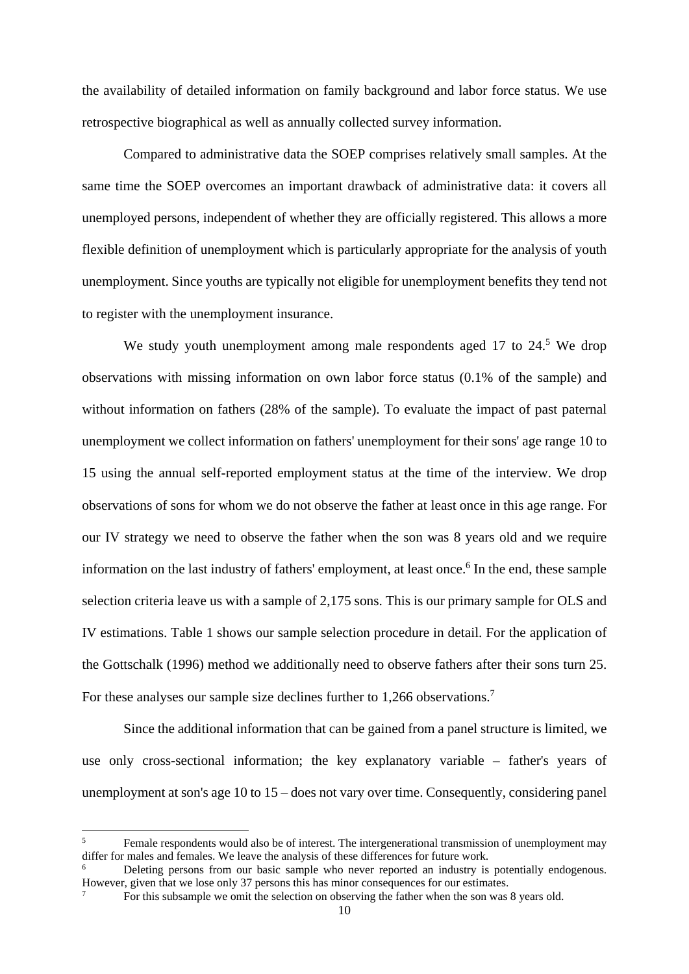the availability of detailed information on family background and labor force status. We use retrospective biographical as well as annually collected survey information.

Compared to administrative data the SOEP comprises relatively small samples. At the same time the SOEP overcomes an important drawback of administrative data: it covers all unemployed persons, independent of whether they are officially registered. This allows a more flexible definition of unemployment which is particularly appropriate for the analysis of youth unemployment. Since youths are typically not eligible for unemployment benefits they tend not to register with the unemployment insurance.

We study youth unemployment among male respondents aged 17 to 24.<sup>5</sup> We drop observations with missing information on own labor force status (0.1% of the sample) and without information on fathers (28% of the sample). To evaluate the impact of past paternal unemployment we collect information on fathers' unemployment for their sons' age range 10 to 15 using the annual self-reported employment status at the time of the interview. We drop observations of sons for whom we do not observe the father at least once in this age range. For our IV strategy we need to observe the father when the son was 8 years old and we require information on the last industry of fathers' employment, at least once.<sup>6</sup> In the end, these sample selection criteria leave us with a sample of 2,175 sons. This is our primary sample for OLS and IV estimations. Table 1 shows our sample selection procedure in detail. For the application of the Gottschalk (1996) method we additionally need to observe fathers after their sons turn 25. For these analyses our sample size declines further to 1,266 observations.<sup>7</sup>

Since the additional information that can be gained from a panel structure is limited, we use only cross-sectional information; the key explanatory variable – father's years of unemployment at son's age 10 to 15 – does not vary over time. Consequently, considering panel

<sup>5</sup> Female respondents would also be of interest. The intergenerational transmission of unemployment may differ for males and females. We leave the analysis of these differences for future work.

Deleting persons from our basic sample who never reported an industry is potentially endogenous. However, given that we lose only 37 persons this has minor consequences for our estimates. 7

For this subsample we omit the selection on observing the father when the son was 8 years old.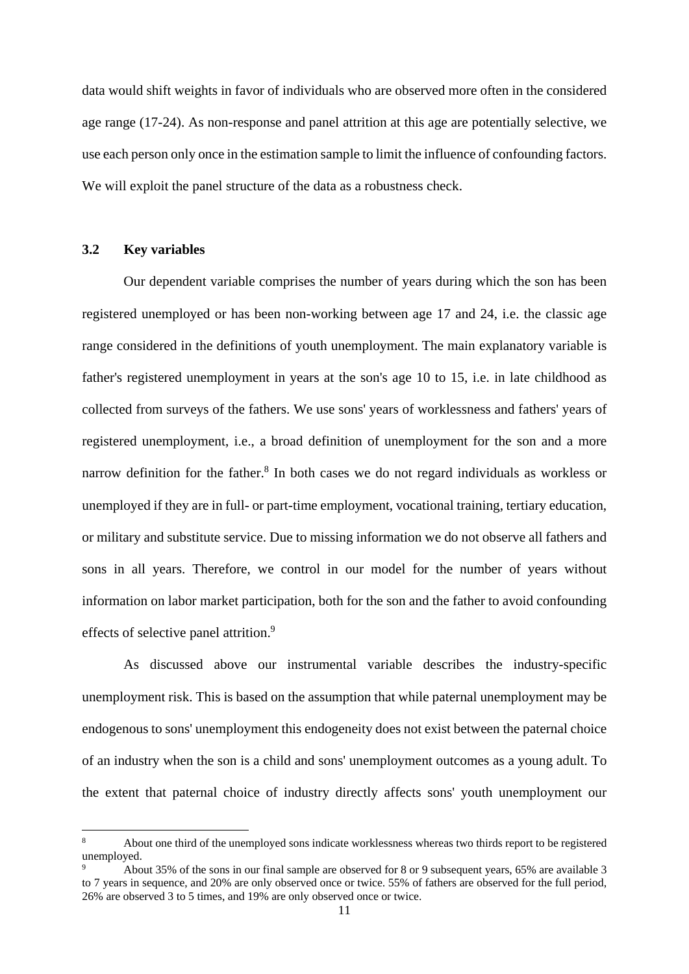data would shift weights in favor of individuals who are observed more often in the considered age range (17-24). As non-response and panel attrition at this age are potentially selective, we use each person only once in the estimation sample to limit the influence of confounding factors. We will exploit the panel structure of the data as a robustness check.

#### **3.2 Key variables**

Our dependent variable comprises the number of years during which the son has been registered unemployed or has been non-working between age 17 and 24, i.e. the classic age range considered in the definitions of youth unemployment. The main explanatory variable is father's registered unemployment in years at the son's age 10 to 15, i.e. in late childhood as collected from surveys of the fathers. We use sons' years of worklessness and fathers' years of registered unemployment, i.e., a broad definition of unemployment for the son and a more narrow definition for the father.<sup>8</sup> In both cases we do not regard individuals as workless or unemployed if they are in full- or part-time employment, vocational training, tertiary education, or military and substitute service. Due to missing information we do not observe all fathers and sons in all years. Therefore, we control in our model for the number of years without information on labor market participation, both for the son and the father to avoid confounding effects of selective panel attrition.<sup>9</sup>

As discussed above our instrumental variable describes the industry-specific unemployment risk. This is based on the assumption that while paternal unemployment may be endogenous to sons' unemployment this endogeneity does not exist between the paternal choice of an industry when the son is a child and sons' unemployment outcomes as a young adult. To the extent that paternal choice of industry directly affects sons' youth unemployment our

<sup>8</sup> About one third of the unemployed sons indicate worklessness whereas two thirds report to be registered unemployed.

<sup>9</sup> About 35% of the sons in our final sample are observed for 8 or 9 subsequent years, 65% are available 3 to 7 years in sequence, and 20% are only observed once or twice. 55% of fathers are observed for the full period, 26% are observed 3 to 5 times, and 19% are only observed once or twice.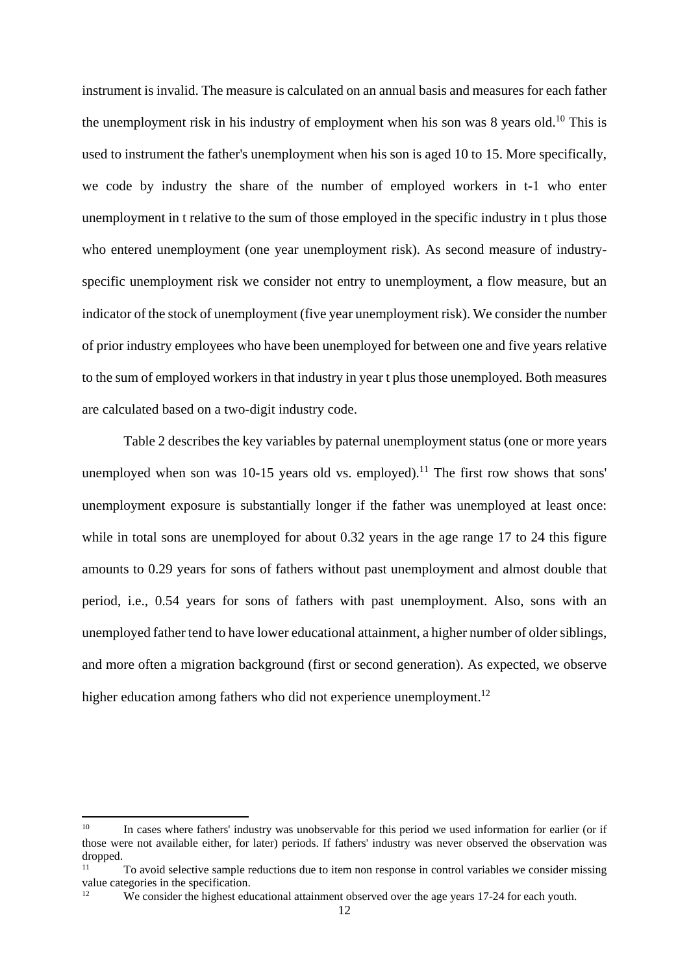instrument is invalid. The measure is calculated on an annual basis and measures for each father the unemployment risk in his industry of employment when his son was  $8$  years old.<sup>10</sup> This is used to instrument the father's unemployment when his son is aged 10 to 15. More specifically, we code by industry the share of the number of employed workers in t-1 who enter unemployment in t relative to the sum of those employed in the specific industry in t plus those who entered unemployment (one year unemployment risk). As second measure of industryspecific unemployment risk we consider not entry to unemployment, a flow measure, but an indicator of the stock of unemployment (five year unemployment risk). We consider the number of prior industry employees who have been unemployed for between one and five years relative to the sum of employed workers in that industry in year t plus those unemployed. Both measures are calculated based on a two-digit industry code.

Table 2 describes the key variables by paternal unemployment status (one or more years unemployed when son was 10-15 years old vs. employed).<sup>11</sup> The first row shows that sons' unemployment exposure is substantially longer if the father was unemployed at least once: while in total sons are unemployed for about 0.32 years in the age range 17 to 24 this figure amounts to 0.29 years for sons of fathers without past unemployment and almost double that period, i.e., 0.54 years for sons of fathers with past unemployment. Also, sons with an unemployed father tend to have lower educational attainment, a higher number of older siblings, and more often a migration background (first or second generation). As expected, we observe higher education among fathers who did not experience unemployment.<sup>12</sup>

<sup>&</sup>lt;sup>10</sup> In cases where fathers' industry was unobservable for this period we used information for earlier (or if those were not available either, for later) periods. If fathers' industry was never observed the observation was dropped.

<sup>11</sup> To avoid selective sample reductions due to item non response in control variables we consider missing value categories in the specification.

We consider the highest educational attainment observed over the age years 17-24 for each youth.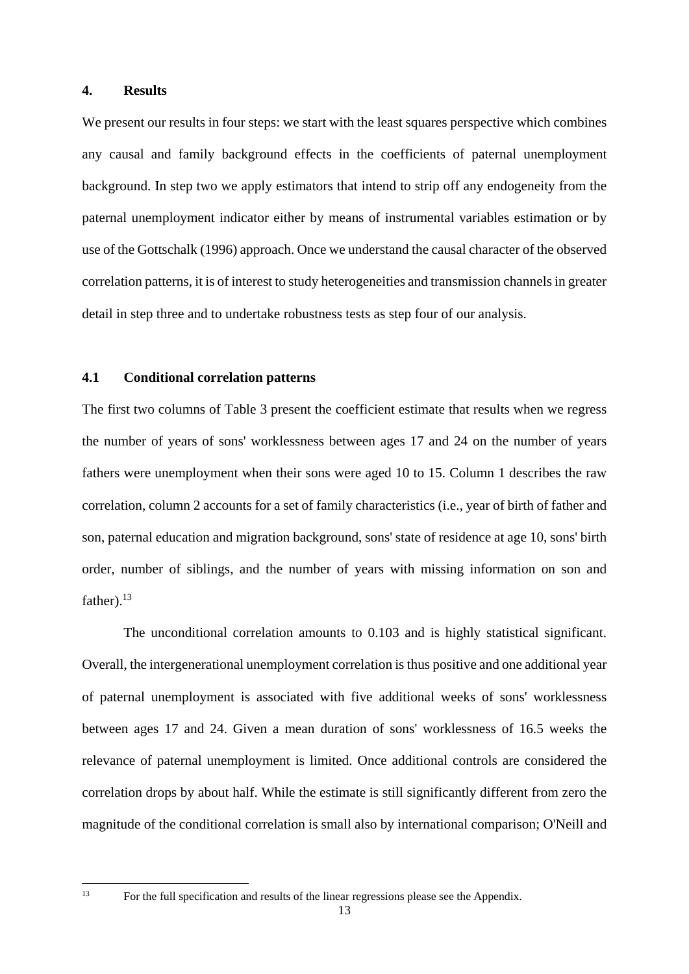#### **4. Results**

We present our results in four steps: we start with the least squares perspective which combines any causal and family background effects in the coefficients of paternal unemployment background. In step two we apply estimators that intend to strip off any endogeneity from the paternal unemployment indicator either by means of instrumental variables estimation or by use of the Gottschalk (1996) approach. Once we understand the causal character of the observed correlation patterns, it is of interest to study heterogeneities and transmission channels in greater detail in step three and to undertake robustness tests as step four of our analysis.

#### **4.1 Conditional correlation patterns**

The first two columns of Table 3 present the coefficient estimate that results when we regress the number of years of sons' worklessness between ages 17 and 24 on the number of years fathers were unemployment when their sons were aged 10 to 15. Column 1 describes the raw correlation, column 2 accounts for a set of family characteristics (i.e., year of birth of father and son, paternal education and migration background, sons' state of residence at age 10, sons' birth order, number of siblings, and the number of years with missing information on son and father). $13$ 

 The unconditional correlation amounts to 0.103 and is highly statistical significant. Overall, the intergenerational unemployment correlation is thus positive and one additional year of paternal unemployment is associated with five additional weeks of sons' worklessness between ages 17 and 24. Given a mean duration of sons' worklessness of 16.5 weeks the relevance of paternal unemployment is limited. Once additional controls are considered the correlation drops by about half. While the estimate is still significantly different from zero the magnitude of the conditional correlation is small also by international comparison; O'Neill and

<sup>&</sup>lt;sup>13</sup> For the full specification and results of the linear regressions please see the Appendix.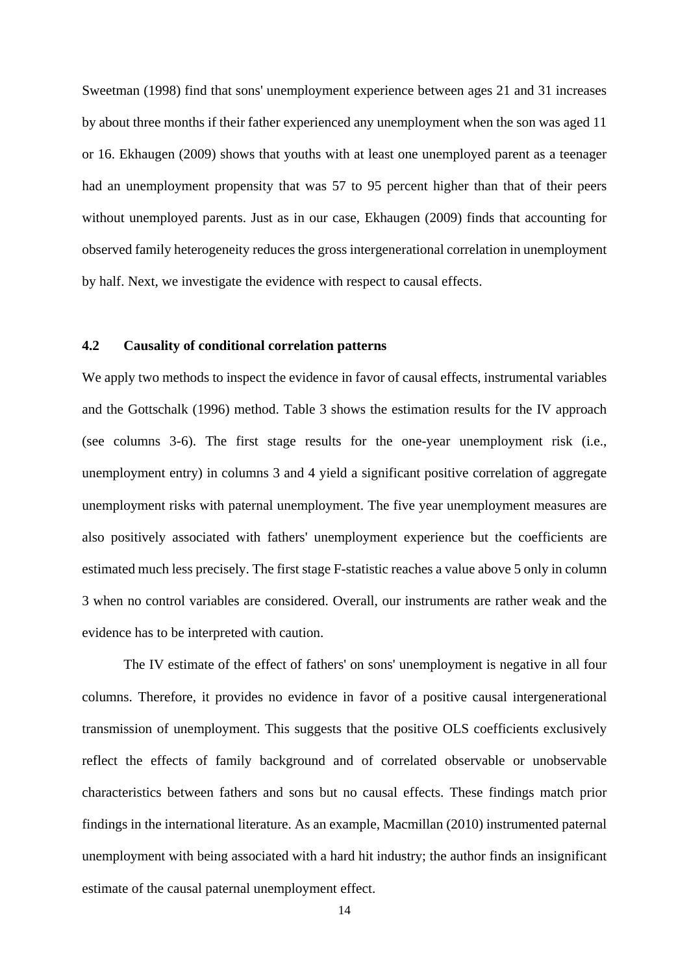Sweetman (1998) find that sons' unemployment experience between ages 21 and 31 increases by about three months if their father experienced any unemployment when the son was aged 11 or 16. Ekhaugen (2009) shows that youths with at least one unemployed parent as a teenager had an unemployment propensity that was 57 to 95 percent higher than that of their peers without unemployed parents. Just as in our case, Ekhaugen (2009) finds that accounting for observed family heterogeneity reduces the gross intergenerational correlation in unemployment by half. Next, we investigate the evidence with respect to causal effects.

#### **4.2 Causality of conditional correlation patterns**

We apply two methods to inspect the evidence in favor of causal effects, instrumental variables and the Gottschalk (1996) method. Table 3 shows the estimation results for the IV approach (see columns 3-6). The first stage results for the one-year unemployment risk (i.e., unemployment entry) in columns 3 and 4 yield a significant positive correlation of aggregate unemployment risks with paternal unemployment. The five year unemployment measures are also positively associated with fathers' unemployment experience but the coefficients are estimated much less precisely. The first stage F-statistic reaches a value above 5 only in column 3 when no control variables are considered. Overall, our instruments are rather weak and the evidence has to be interpreted with caution.

The IV estimate of the effect of fathers' on sons' unemployment is negative in all four columns. Therefore, it provides no evidence in favor of a positive causal intergenerational transmission of unemployment. This suggests that the positive OLS coefficients exclusively reflect the effects of family background and of correlated observable or unobservable characteristics between fathers and sons but no causal effects. These findings match prior findings in the international literature. As an example, Macmillan (2010) instrumented paternal unemployment with being associated with a hard hit industry; the author finds an insignificant estimate of the causal paternal unemployment effect.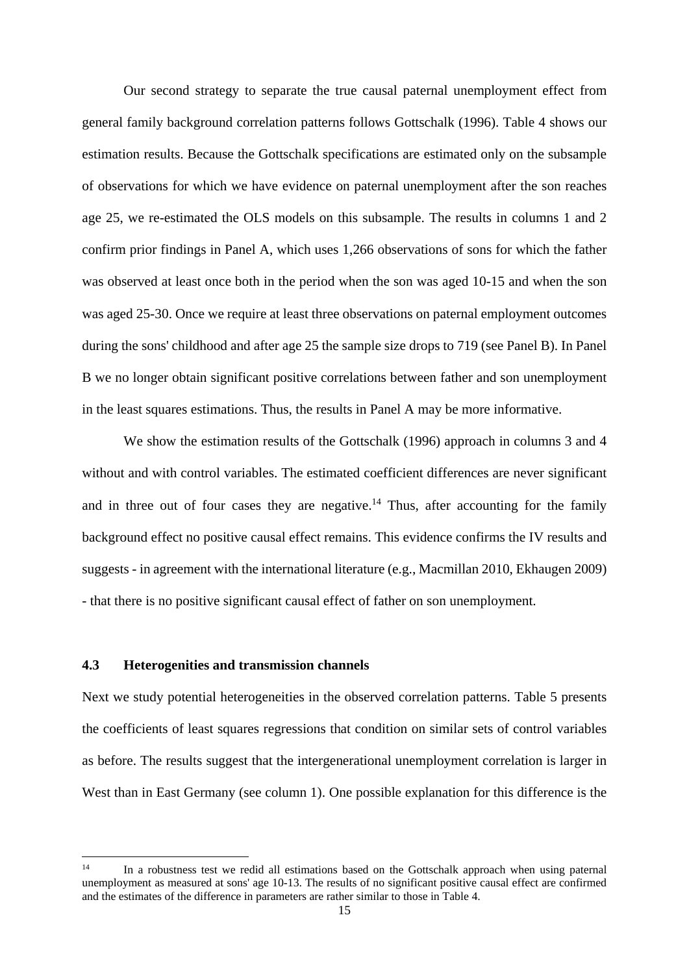Our second strategy to separate the true causal paternal unemployment effect from general family background correlation patterns follows Gottschalk (1996). Table 4 shows our estimation results. Because the Gottschalk specifications are estimated only on the subsample of observations for which we have evidence on paternal unemployment after the son reaches age 25, we re-estimated the OLS models on this subsample. The results in columns 1 and 2 confirm prior findings in Panel A, which uses 1,266 observations of sons for which the father was observed at least once both in the period when the son was aged 10-15 and when the son was aged 25-30. Once we require at least three observations on paternal employment outcomes during the sons' childhood and after age 25 the sample size drops to 719 (see Panel B). In Panel B we no longer obtain significant positive correlations between father and son unemployment in the least squares estimations. Thus, the results in Panel A may be more informative.

We show the estimation results of the Gottschalk (1996) approach in columns 3 and 4 without and with control variables. The estimated coefficient differences are never significant and in three out of four cases they are negative.<sup>14</sup> Thus, after accounting for the family background effect no positive causal effect remains. This evidence confirms the IV results and suggests - in agreement with the international literature (e.g., Macmillan 2010, Ekhaugen 2009) - that there is no positive significant causal effect of father on son unemployment.

#### **4.3 Heterogenities and transmission channels**

Next we study potential heterogeneities in the observed correlation patterns. Table 5 presents the coefficients of least squares regressions that condition on similar sets of control variables as before. The results suggest that the intergenerational unemployment correlation is larger in West than in East Germany (see column 1). One possible explanation for this difference is the

<sup>&</sup>lt;sup>14</sup> In a robustness test we redid all estimations based on the Gottschalk approach when using paternal unemployment as measured at sons' age 10-13. The results of no significant positive causal effect are confirmed and the estimates of the difference in parameters are rather similar to those in Table 4.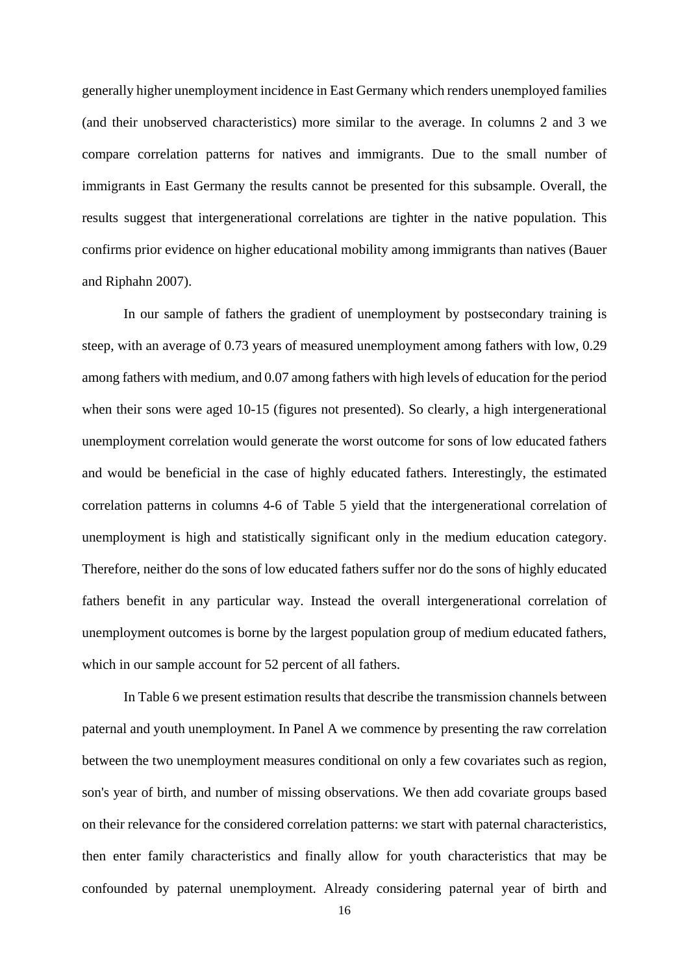generally higher unemployment incidence in East Germany which renders unemployed families (and their unobserved characteristics) more similar to the average. In columns 2 and 3 we compare correlation patterns for natives and immigrants. Due to the small number of immigrants in East Germany the results cannot be presented for this subsample. Overall, the results suggest that intergenerational correlations are tighter in the native population. This confirms prior evidence on higher educational mobility among immigrants than natives (Bauer and Riphahn 2007).

In our sample of fathers the gradient of unemployment by postsecondary training is steep, with an average of 0.73 years of measured unemployment among fathers with low, 0.29 among fathers with medium, and 0.07 among fathers with high levels of education for the period when their sons were aged 10-15 (figures not presented). So clearly, a high intergenerational unemployment correlation would generate the worst outcome for sons of low educated fathers and would be beneficial in the case of highly educated fathers. Interestingly, the estimated correlation patterns in columns 4-6 of Table 5 yield that the intergenerational correlation of unemployment is high and statistically significant only in the medium education category. Therefore, neither do the sons of low educated fathers suffer nor do the sons of highly educated fathers benefit in any particular way. Instead the overall intergenerational correlation of unemployment outcomes is borne by the largest population group of medium educated fathers, which in our sample account for 52 percent of all fathers.

 In Table 6 we present estimation results that describe the transmission channels between paternal and youth unemployment. In Panel A we commence by presenting the raw correlation between the two unemployment measures conditional on only a few covariates such as region, son's year of birth, and number of missing observations. We then add covariate groups based on their relevance for the considered correlation patterns: we start with paternal characteristics, then enter family characteristics and finally allow for youth characteristics that may be confounded by paternal unemployment. Already considering paternal year of birth and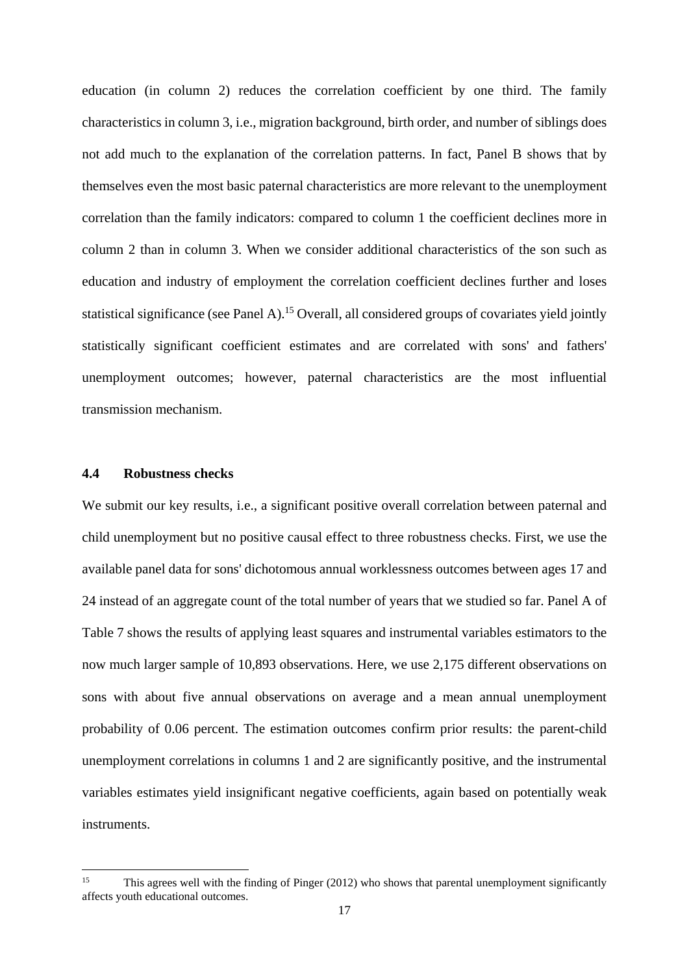education (in column 2) reduces the correlation coefficient by one third. The family characteristics in column 3, i.e., migration background, birth order, and number of siblings does not add much to the explanation of the correlation patterns. In fact, Panel B shows that by themselves even the most basic paternal characteristics are more relevant to the unemployment correlation than the family indicators: compared to column 1 the coefficient declines more in column 2 than in column 3. When we consider additional characteristics of the son such as education and industry of employment the correlation coefficient declines further and loses statistical significance (see Panel A).<sup>15</sup> Overall, all considered groups of covariates yield jointly statistically significant coefficient estimates and are correlated with sons' and fathers' unemployment outcomes; however, paternal characteristics are the most influential transmission mechanism.

#### **4.4 Robustness checks**

We submit our key results, i.e., a significant positive overall correlation between paternal and child unemployment but no positive causal effect to three robustness checks. First, we use the available panel data for sons' dichotomous annual worklessness outcomes between ages 17 and 24 instead of an aggregate count of the total number of years that we studied so far. Panel A of Table 7 shows the results of applying least squares and instrumental variables estimators to the now much larger sample of 10,893 observations. Here, we use 2,175 different observations on sons with about five annual observations on average and a mean annual unemployment probability of 0.06 percent. The estimation outcomes confirm prior results: the parent-child unemployment correlations in columns 1 and 2 are significantly positive, and the instrumental variables estimates yield insignificant negative coefficients, again based on potentially weak instruments.

<sup>15</sup> This agrees well with the finding of Pinger (2012) who shows that parental unemployment significantly affects youth educational outcomes.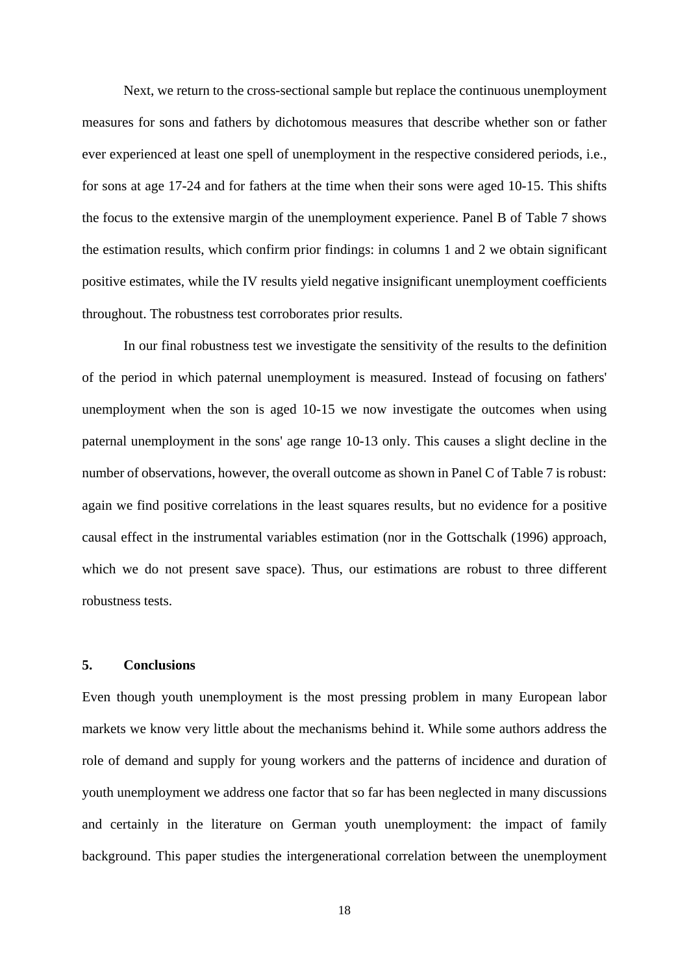Next, we return to the cross-sectional sample but replace the continuous unemployment measures for sons and fathers by dichotomous measures that describe whether son or father ever experienced at least one spell of unemployment in the respective considered periods, i.e., for sons at age 17-24 and for fathers at the time when their sons were aged 10-15. This shifts the focus to the extensive margin of the unemployment experience. Panel B of Table 7 shows the estimation results, which confirm prior findings: in columns 1 and 2 we obtain significant positive estimates, while the IV results yield negative insignificant unemployment coefficients throughout. The robustness test corroborates prior results.

 In our final robustness test we investigate the sensitivity of the results to the definition of the period in which paternal unemployment is measured. Instead of focusing on fathers' unemployment when the son is aged 10-15 we now investigate the outcomes when using paternal unemployment in the sons' age range 10-13 only. This causes a slight decline in the number of observations, however, the overall outcome as shown in Panel C of Table 7 is robust: again we find positive correlations in the least squares results, but no evidence for a positive causal effect in the instrumental variables estimation (nor in the Gottschalk (1996) approach, which we do not present save space). Thus, our estimations are robust to three different robustness tests.

#### **5. Conclusions**

Even though youth unemployment is the most pressing problem in many European labor markets we know very little about the mechanisms behind it. While some authors address the role of demand and supply for young workers and the patterns of incidence and duration of youth unemployment we address one factor that so far has been neglected in many discussions and certainly in the literature on German youth unemployment: the impact of family background. This paper studies the intergenerational correlation between the unemployment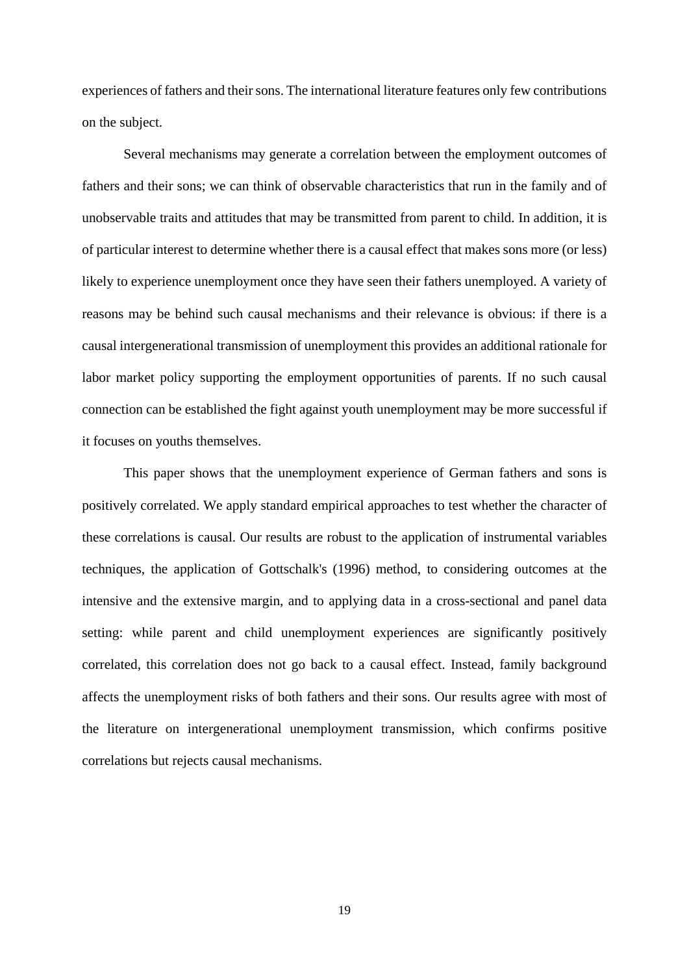experiences of fathers and their sons. The international literature features only few contributions on the subject.

 Several mechanisms may generate a correlation between the employment outcomes of fathers and their sons; we can think of observable characteristics that run in the family and of unobservable traits and attitudes that may be transmitted from parent to child. In addition, it is of particular interest to determine whether there is a causal effect that makes sons more (or less) likely to experience unemployment once they have seen their fathers unemployed. A variety of reasons may be behind such causal mechanisms and their relevance is obvious: if there is a causal intergenerational transmission of unemployment this provides an additional rationale for labor market policy supporting the employment opportunities of parents. If no such causal connection can be established the fight against youth unemployment may be more successful if it focuses on youths themselves.

 This paper shows that the unemployment experience of German fathers and sons is positively correlated. We apply standard empirical approaches to test whether the character of these correlations is causal. Our results are robust to the application of instrumental variables techniques, the application of Gottschalk's (1996) method, to considering outcomes at the intensive and the extensive margin, and to applying data in a cross-sectional and panel data setting: while parent and child unemployment experiences are significantly positively correlated, this correlation does not go back to a causal effect. Instead, family background affects the unemployment risks of both fathers and their sons. Our results agree with most of the literature on intergenerational unemployment transmission, which confirms positive correlations but rejects causal mechanisms.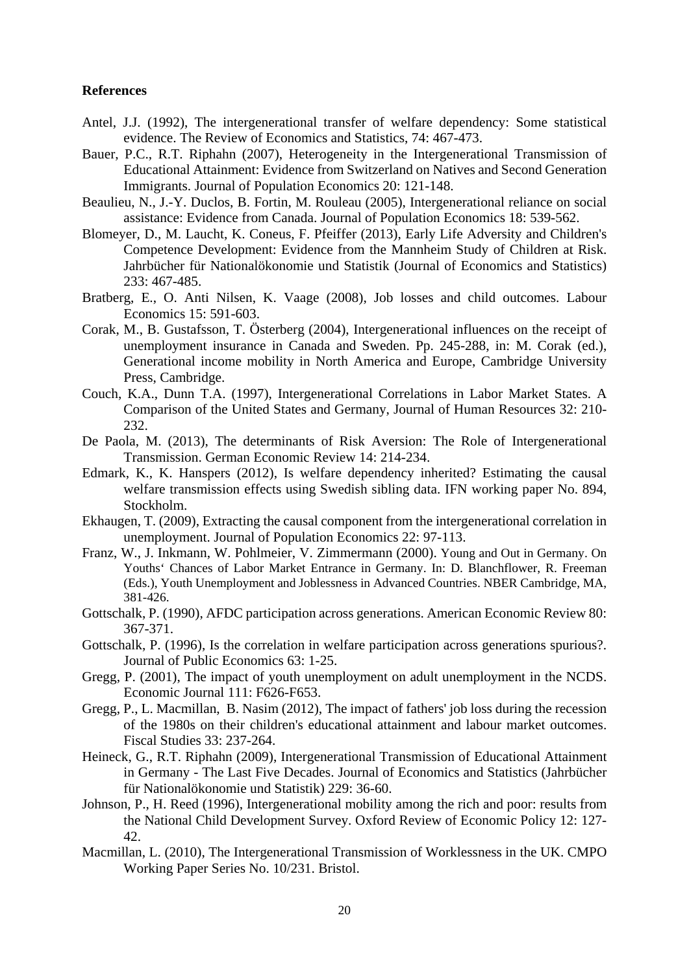#### **References**

- Antel, J.J. (1992), The intergenerational transfer of welfare dependency: Some statistical evidence. The Review of Economics and Statistics, 74: 467-473.
- Bauer, P.C., R.T. Riphahn (2007), Heterogeneity in the Intergenerational Transmission of Educational Attainment: Evidence from Switzerland on Natives and Second Generation Immigrants. Journal of Population Economics 20: 121-148.
- Beaulieu, N., J.-Y. Duclos, B. Fortin, M. Rouleau (2005), Intergenerational reliance on social assistance: Evidence from Canada. Journal of Population Economics 18: 539-562.
- Blomeyer, D., M. Laucht, K. Coneus, F. Pfeiffer (2013), Early Life Adversity and Children's Competence Development: Evidence from the Mannheim Study of Children at Risk. Jahrbücher für Nationalökonomie und Statistik (Journal of Economics and Statistics) 233: 467-485.
- Bratberg, E., O. Anti Nilsen, K. Vaage (2008), Job losses and child outcomes. Labour Economics 15: 591-603.
- Corak, M., B. Gustafsson, T. Österberg (2004), Intergenerational influences on the receipt of unemployment insurance in Canada and Sweden. Pp. 245-288, in: M. Corak (ed.), Generational income mobility in North America and Europe, Cambridge University Press, Cambridge.
- Couch, K.A., Dunn T.A. (1997), Intergenerational Correlations in Labor Market States. A Comparison of the United States and Germany, Journal of Human Resources 32: 210- 232.
- De Paola, M. (2013), The determinants of Risk Aversion: The Role of Intergenerational Transmission. German Economic Review 14: 214-234.
- Edmark, K., K. Hanspers (2012), Is welfare dependency inherited? Estimating the causal welfare transmission effects using Swedish sibling data. IFN working paper No. 894, Stockholm.
- Ekhaugen, T. (2009), Extracting the causal component from the intergenerational correlation in unemployment. Journal of Population Economics 22: 97-113.
- Franz, W., J. Inkmann, W. Pohlmeier, V. Zimmermann (2000). Young and Out in Germany. On Youths' Chances of Labor Market Entrance in Germany. In: D. Blanchflower, R. Freeman (Eds.), Youth Unemployment and Joblessness in Advanced Countries. NBER Cambridge, MA, 381-426.
- Gottschalk, P. (1990), AFDC participation across generations. American Economic Review 80: 367-371.
- Gottschalk, P. (1996), Is the correlation in welfare participation across generations spurious?. Journal of Public Economics 63: 1-25.
- Gregg, P. (2001), The impact of youth unemployment on adult unemployment in the NCDS. Economic Journal 111: F626-F653.
- Gregg, P., L. Macmillan, B. Nasim (2012), The impact of fathers' job loss during the recession of the 1980s on their children's educational attainment and labour market outcomes. Fiscal Studies 33: 237-264.
- Heineck, G., R.T. Riphahn (2009), Intergenerational Transmission of Educational Attainment in Germany - The Last Five Decades. Journal of Economics and Statistics (Jahrbücher für Nationalökonomie und Statistik) 229: 36-60.
- Johnson, P., H. Reed (1996), Intergenerational mobility among the rich and poor: results from the National Child Development Survey. Oxford Review of Economic Policy 12: 127- 42.
- Macmillan, L. (2010), The Intergenerational Transmission of Worklessness in the UK. CMPO Working Paper Series No. 10/231. Bristol.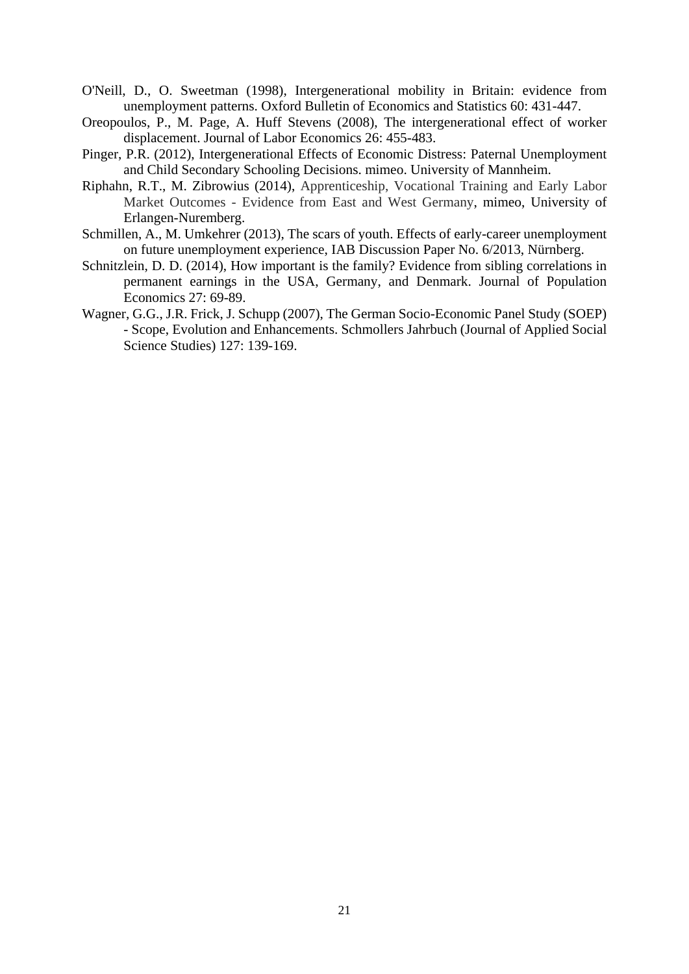- O'Neill, D., O. Sweetman (1998), Intergenerational mobility in Britain: evidence from unemployment patterns. Oxford Bulletin of Economics and Statistics 60: 431-447.
- Oreopoulos, P., M. Page, A. Huff Stevens (2008), The intergenerational effect of worker displacement. Journal of Labor Economics 26: 455-483.
- Pinger, P.R. (2012), Intergenerational Effects of Economic Distress: Paternal Unemployment and Child Secondary Schooling Decisions. mimeo. University of Mannheim.
- Riphahn, R.T., M. Zibrowius (2014), Apprenticeship, Vocational Training and Early Labor Market Outcomes - Evidence from East and West Germany, mimeo, University of Erlangen-Nuremberg.
- Schmillen, A., M. Umkehrer (2013), The scars of youth. Effects of early-career unemployment on future unemployment experience, IAB Discussion Paper No. 6/2013, Nürnberg.
- Schnitzlein, D. D. (2014), How important is the family? Evidence from sibling correlations in permanent earnings in the USA, Germany, and Denmark. Journal of Population Economics 27: 69-89.
- Wagner, G.G., J.R. Frick, J. Schupp (2007), The German Socio-Economic Panel Study (SOEP) - Scope, Evolution and Enhancements. Schmollers Jahrbuch (Journal of Applied Social Science Studies) 127: 139-169.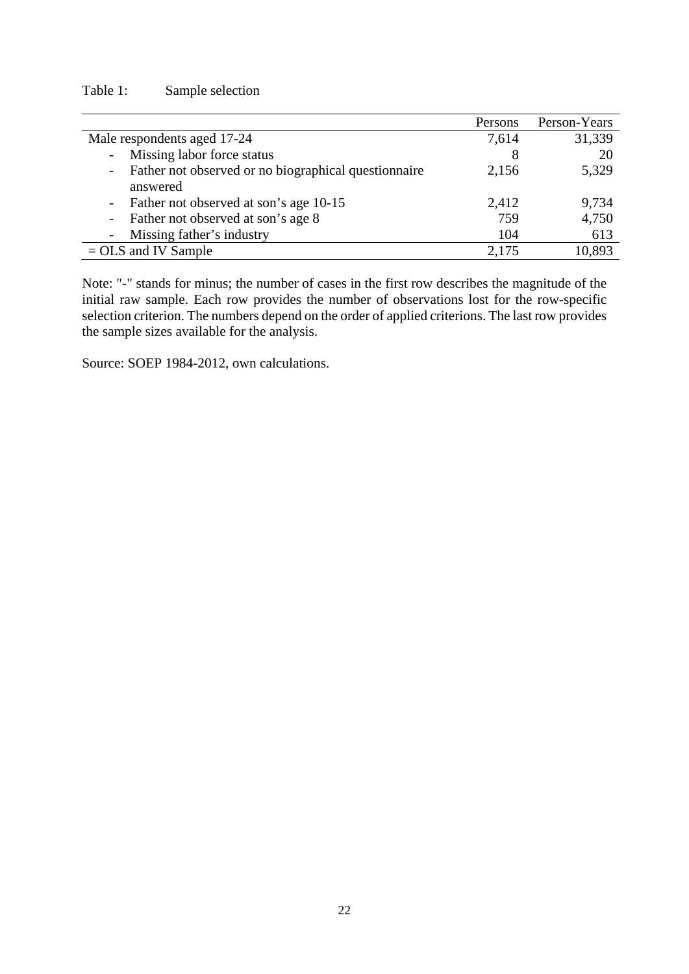#### Table 1: Sample selection

|                                                                  | Persons | Person-Years |
|------------------------------------------------------------------|---------|--------------|
| Male respondents aged 17-24                                      | 7,614   | 31,339       |
| Missing labor force status                                       | 8       | 20           |
| Father not observed or no biographical questionnaire<br>answered | 2,156   | 5,329        |
| Father not observed at son's age 10-15                           | 2,412   | 9,734        |
| Father not observed at son's age 8                               | 759     | 4,750        |
| Missing father's industry                                        | 104     | 613          |
| $= OLS$ and IV Sample                                            | 2,175   | 10,893       |

Note: "-" stands for minus; the number of cases in the first row describes the magnitude of the initial raw sample. Each row provides the number of observations lost for the row-specific selection criterion. The numbers depend on the order of applied criterions. The last row provides the sample sizes available for the analysis.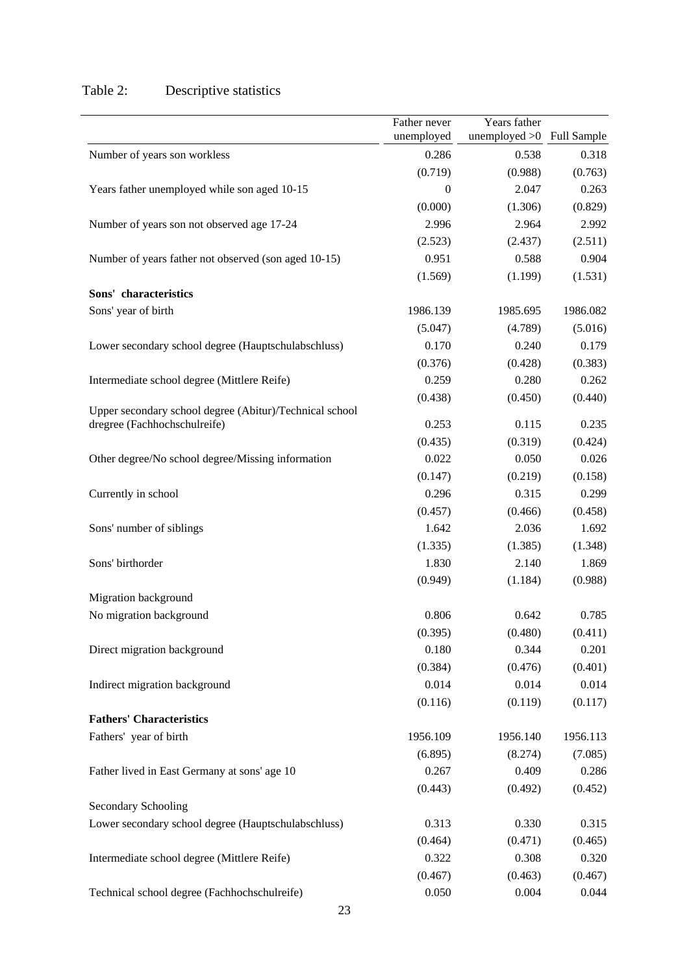# Table 2: Descriptive statistics

|                                                         | Father never<br>unemployed | Years father<br>unemployed $>0$ | <b>Full Sample</b> |
|---------------------------------------------------------|----------------------------|---------------------------------|--------------------|
| Number of years son workless                            | 0.286                      | 0.538                           | 0.318              |
|                                                         | (0.719)                    | (0.988)                         | (0.763)            |
| Years father unemployed while son aged 10-15            | $\overline{0}$             | 2.047                           | 0.263              |
|                                                         | (0.000)                    | (1.306)                         | (0.829)            |
| Number of years son not observed age 17-24              | 2.996                      | 2.964                           | 2.992              |
|                                                         | (2.523)                    | (2.437)                         | (2.511)            |
| Number of years father not observed (son aged 10-15)    | 0.951                      | 0.588                           | 0.904              |
|                                                         | (1.569)                    | (1.199)                         | (1.531)            |
| Sons' characteristics                                   |                            |                                 |                    |
| Sons' year of birth                                     | 1986.139                   | 1985.695                        | 1986.082           |
|                                                         | (5.047)                    | (4.789)                         | (5.016)            |
| Lower secondary school degree (Hauptschulabschluss)     | 0.170                      | 0.240                           | 0.179              |
|                                                         | (0.376)                    | (0.428)                         | (0.383)            |
| Intermediate school degree (Mittlere Reife)             | 0.259                      | 0.280                           | 0.262              |
|                                                         | (0.438)                    | (0.450)                         | (0.440)            |
| Upper secondary school degree (Abitur)/Technical school |                            |                                 |                    |
| dregree (Fachhochschulreife)                            | 0.253                      | 0.115                           | 0.235              |
|                                                         | (0.435)                    | (0.319)                         | (0.424)            |
| Other degree/No school degree/Missing information       | 0.022                      | 0.050                           | 0.026              |
|                                                         | (0.147)                    | (0.219)                         | (0.158)            |
| Currently in school                                     | 0.296                      | 0.315                           | 0.299              |
|                                                         | (0.457)                    | (0.466)                         | (0.458)            |
| Sons' number of siblings                                | 1.642                      | 2.036                           | 1.692              |
|                                                         | (1.335)                    | (1.385)                         | (1.348)            |
| Sons' birthorder                                        | 1.830                      | 2.140                           | 1.869              |
|                                                         | (0.949)                    | (1.184)                         | (0.988)            |
| Migration background                                    |                            |                                 |                    |
| No migration background                                 | 0.806                      | 0.642                           | 0.785              |
|                                                         | (0.395)                    | (0.480)                         | (0.411)            |
| Direct migration background                             | 0.180                      | 0.344                           | 0.201              |
|                                                         | (0.384)                    | (0.476)                         | (0.401)            |
| Indirect migration background                           | 0.014                      | 0.014                           | 0.014              |
|                                                         | (0.116)                    | (0.119)                         | (0.117)            |
| <b>Fathers' Characteristics</b>                         |                            |                                 |                    |
| Fathers' year of birth                                  | 1956.109                   | 1956.140                        | 1956.113           |
|                                                         | (6.895)                    | (8.274)                         | (7.085)            |
| Father lived in East Germany at sons' age 10            | 0.267                      | 0.409                           | 0.286              |
|                                                         | (0.443)                    | (0.492)                         | (0.452)            |
| Secondary Schooling                                     |                            |                                 |                    |
| Lower secondary school degree (Hauptschulabschluss)     | 0.313                      | 0.330                           | 0.315              |
|                                                         | (0.464)                    | (0.471)                         | (0.465)            |
| Intermediate school degree (Mittlere Reife)             | 0.322                      | 0.308                           | 0.320              |
|                                                         | (0.467)                    | (0.463)                         | (0.467)            |
| Technical school degree (Fachhochschulreife)            | 0.050                      | 0.004                           | 0.044              |
|                                                         |                            |                                 |                    |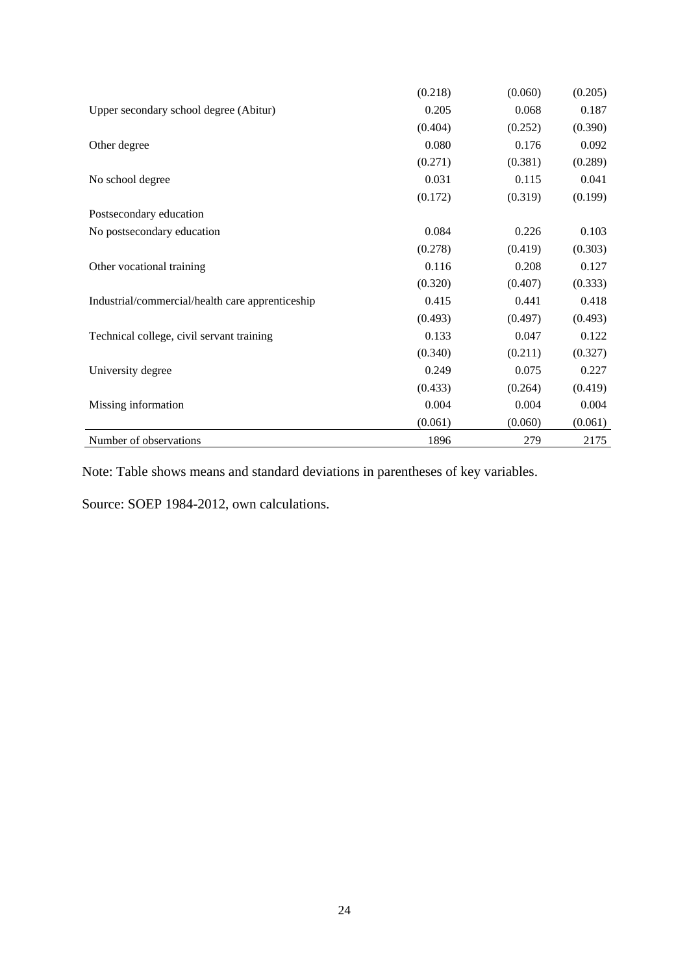|                                                  | (0.218) | (0.060) | (0.205) |
|--------------------------------------------------|---------|---------|---------|
| Upper secondary school degree (Abitur)           | 0.205   | 0.068   | 0.187   |
|                                                  | (0.404) | (0.252) | (0.390) |
| Other degree                                     | 0.080   | 0.176   | 0.092   |
|                                                  | (0.271) | (0.381) | (0.289) |
| No school degree                                 | 0.031   | 0.115   | 0.041   |
|                                                  | (0.172) | (0.319) | (0.199) |
| Postsecondary education                          |         |         |         |
| No postsecondary education                       | 0.084   | 0.226   | 0.103   |
|                                                  | (0.278) | (0.419) | (0.303) |
| Other vocational training                        | 0.116   | 0.208   | 0.127   |
|                                                  | (0.320) | (0.407) | (0.333) |
| Industrial/commercial/health care apprenticeship | 0.415   | 0.441   | 0.418   |
|                                                  | (0.493) | (0.497) | (0.493) |
| Technical college, civil servant training        | 0.133   | 0.047   | 0.122   |
|                                                  | (0.340) | (0.211) | (0.327) |
| University degree                                | 0.249   | 0.075   | 0.227   |
|                                                  | (0.433) | (0.264) | (0.419) |
| Missing information                              | 0.004   | 0.004   | 0.004   |
|                                                  | (0.061) | (0.060) | (0.061) |
| Number of observations                           | 1896    | 279     | 2175    |

Note: Table shows means and standard deviations in parentheses of key variables.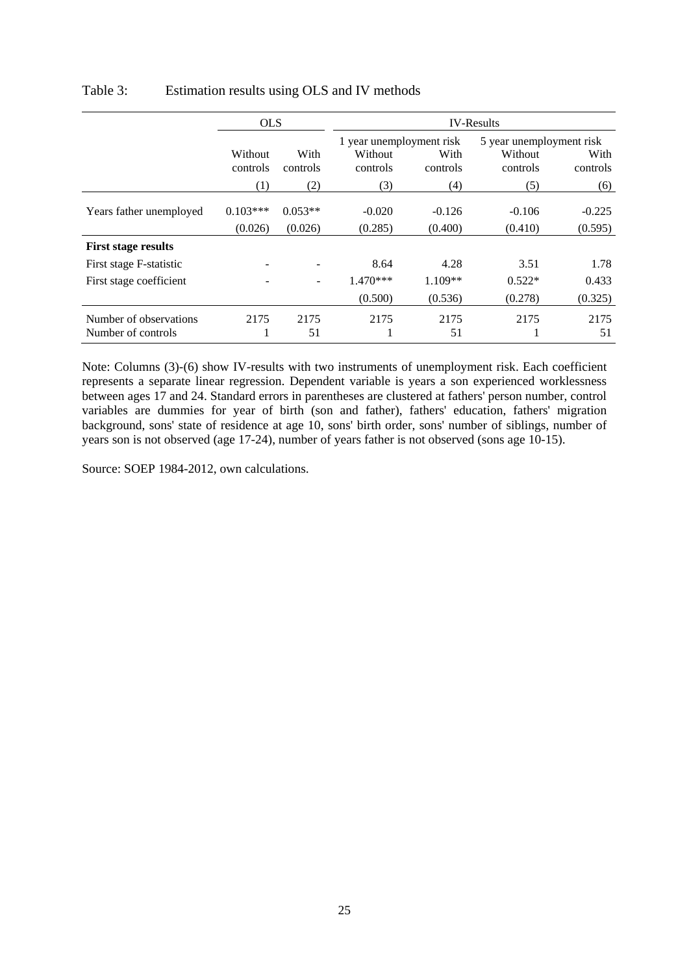|                                              | <b>OLS</b>          |                  | <b>IV-Results</b>                               |                  |                                                 |                  |
|----------------------------------------------|---------------------|------------------|-------------------------------------------------|------------------|-------------------------------------------------|------------------|
|                                              | Without<br>controls | With<br>controls | 1 year unemployment risk<br>Without<br>controls | With<br>controls | 5 year unemployment risk<br>Without<br>controls | With<br>controls |
|                                              | (1)                 | (2)              | (3)                                             | (4)              | (5)                                             | (6)              |
| Years father unemployed                      | $0.103***$          | $0.053**$        | $-0.020$                                        | $-0.126$         | $-0.106$                                        | $-0.225$         |
|                                              | (0.026)             | (0.026)          | (0.285)                                         | (0.400)          | (0.410)                                         | (0.595)          |
| <b>First stage results</b>                   |                     |                  |                                                 |                  |                                                 |                  |
| First stage F-statistic                      |                     |                  | 8.64                                            | 4.28             | 3.51                                            | 1.78             |
| First stage coefficient                      |                     |                  | $1.470***$                                      | $1.109**$        | $0.522*$                                        | 0.433            |
|                                              |                     |                  | (0.500)                                         | (0.536)          | (0.278)                                         | (0.325)          |
| Number of observations<br>Number of controls | 2175                | 2175<br>51       | 2175                                            | 2175<br>51       | 2175                                            | 2175<br>51       |

#### Table 3: Estimation results using OLS and IV methods

Note: Columns (3)-(6) show IV-results with two instruments of unemployment risk. Each coefficient represents a separate linear regression. Dependent variable is years a son experienced worklessness between ages 17 and 24. Standard errors in parentheses are clustered at fathers' person number, control variables are dummies for year of birth (son and father), fathers' education, fathers' migration background, sons' state of residence at age 10, sons' birth order, sons' number of siblings, number of years son is not observed (age 17-24), number of years father is not observed (sons age 10-15).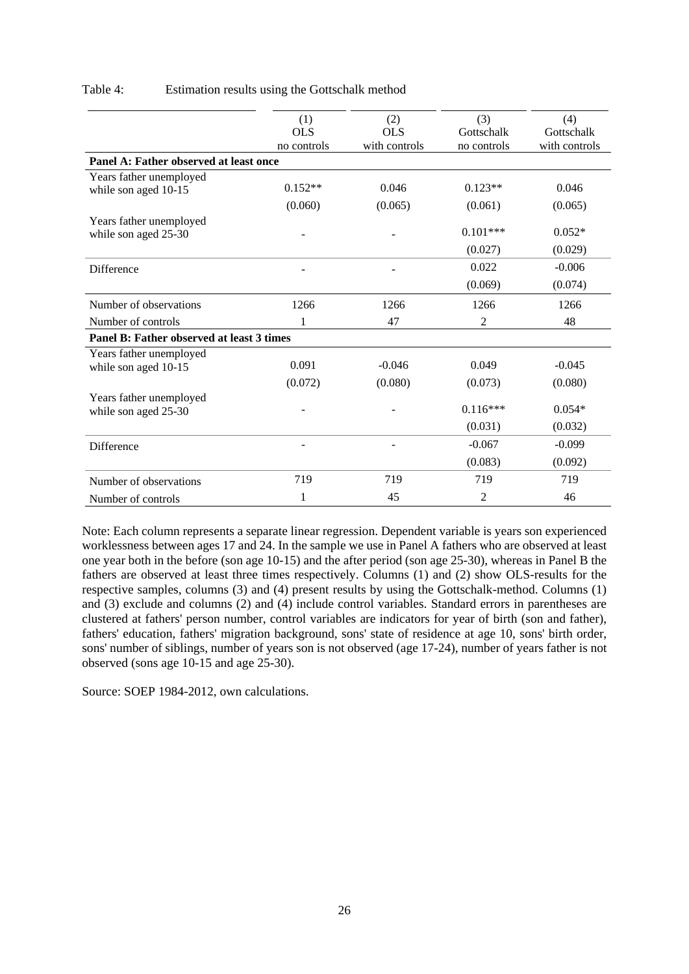Table 4: Estimation results using the Gottschalk method

|                                                 | (1)<br><b>OLS</b><br>no controls | (2)<br><b>OLS</b><br>with controls | (3)<br>Gottschalk<br>no controls | (4)<br>Gottschalk<br>with controls |
|-------------------------------------------------|----------------------------------|------------------------------------|----------------------------------|------------------------------------|
| Panel A: Father observed at least once          |                                  |                                    |                                  |                                    |
| Years father unemployed<br>while son aged 10-15 | $0.152**$                        | 0.046                              | $0.123**$                        | 0.046                              |
|                                                 | (0.060)                          | (0.065)                            | (0.061)                          | (0.065)                            |
| Years father unemployed<br>while son aged 25-30 |                                  |                                    | $0.101***$                       | $0.052*$                           |
|                                                 |                                  |                                    | (0.027)                          | (0.029)                            |
| <b>Difference</b>                               |                                  |                                    | 0.022                            | $-0.006$                           |
|                                                 |                                  |                                    | (0.069)                          | (0.074)                            |
| Number of observations                          | 1266                             | 1266                               | 1266                             | 1266                               |
| Number of controls                              |                                  | 47                                 | $\overline{2}$                   | 48                                 |
| Panel B: Father observed at least 3 times       |                                  |                                    |                                  |                                    |
| Years father unemployed<br>while son aged 10-15 | 0.091                            | $-0.046$                           | 0.049                            | $-0.045$                           |
|                                                 | (0.072)                          | (0.080)                            | (0.073)                          | (0.080)                            |
| Years father unemployed<br>while son aged 25-30 |                                  |                                    | $0.116***$                       | $0.054*$                           |
|                                                 |                                  |                                    | (0.031)                          | (0.032)                            |
| Difference                                      |                                  |                                    | $-0.067$                         | $-0.099$                           |
|                                                 |                                  |                                    | (0.083)                          | (0.092)                            |
| Number of observations                          | 719                              | 719                                | 719                              | 719                                |
| Number of controls                              | 1                                | 45                                 | $\overline{2}$                   | 46                                 |

Note: Each column represents a separate linear regression. Dependent variable is years son experienced worklessness between ages 17 and 24. In the sample we use in Panel A fathers who are observed at least one year both in the before (son age 10-15) and the after period (son age 25-30), whereas in Panel B the fathers are observed at least three times respectively. Columns (1) and (2) show OLS-results for the respective samples, columns (3) and (4) present results by using the Gottschalk-method. Columns (1) and (3) exclude and columns (2) and (4) include control variables. Standard errors in parentheses are clustered at fathers' person number, control variables are indicators for year of birth (son and father), fathers' education, fathers' migration background, sons' state of residence at age 10, sons' birth order, sons' number of siblings, number of years son is not observed (age 17-24), number of years father is not observed (sons age 10-15 and age 25-30).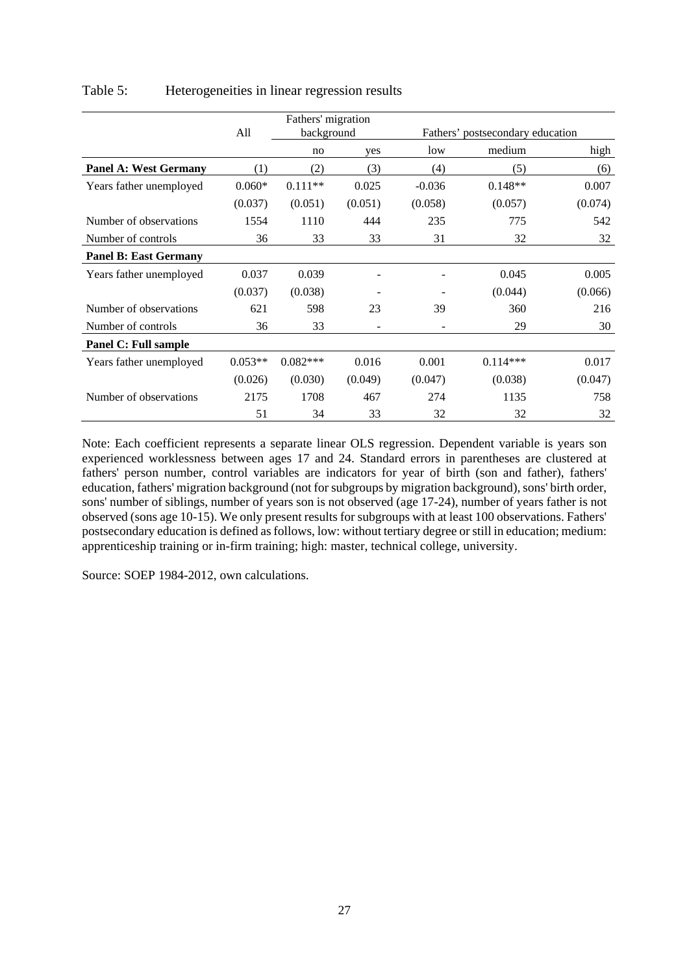|                              |           | Fathers' migration |         |          |                                  |         |
|------------------------------|-----------|--------------------|---------|----------|----------------------------------|---------|
|                              | All       | background         |         |          | Fathers' postsecondary education |         |
|                              |           | no                 | yes     | low      | medium                           | high    |
| <b>Panel A: West Germany</b> | (1)       | (2)                | (3)     | (4)      | (5)                              | (6)     |
| Years father unemployed      | $0.060*$  | $0.111**$          | 0.025   | $-0.036$ | $0.148**$                        | 0.007   |
|                              | (0.037)   | (0.051)            | (0.051) | (0.058)  | (0.057)                          | (0.074) |
| Number of observations       | 1554      | 1110               | 444     | 235      | 775                              | 542     |
| Number of controls           | 36        | 33                 | 33      | 31       | 32                               | 32      |
| <b>Panel B: East Germany</b> |           |                    |         |          |                                  |         |
| Years father unemployed      | 0.037     | 0.039              |         |          | 0.045                            | 0.005   |
|                              | (0.037)   | (0.038)            |         |          | (0.044)                          | (0.066) |
| Number of observations       | 621       | 598                | 23      | 39       | 360                              | 216     |
| Number of controls           | 36        | 33                 |         |          | 29                               | 30      |
| Panel C: Full sample         |           |                    |         |          |                                  |         |
| Years father unemployed      | $0.053**$ | $0.082***$         | 0.016   | 0.001    | $0.114***$                       | 0.017   |
|                              | (0.026)   | (0.030)            | (0.049) | (0.047)  | (0.038)                          | (0.047) |
| Number of observations       | 2175      | 1708               | 467     | 274      | 1135                             | 758     |
|                              | 51        | 34                 | 33      | 32       | 32                               | 32      |

#### Table 5: Heterogeneities in linear regression results

Note: Each coefficient represents a separate linear OLS regression. Dependent variable is years son experienced worklessness between ages 17 and 24. Standard errors in parentheses are clustered at fathers' person number, control variables are indicators for year of birth (son and father), fathers' education, fathers' migration background (not for subgroups by migration background), sons' birth order, sons' number of siblings, number of years son is not observed (age 17-24), number of years father is not observed (sons age 10-15). We only present results for subgroups with at least 100 observations. Fathers' postsecondary education is defined as follows, low: without tertiary degree or still in education; medium: apprenticeship training or in-firm training; high: master, technical college, university.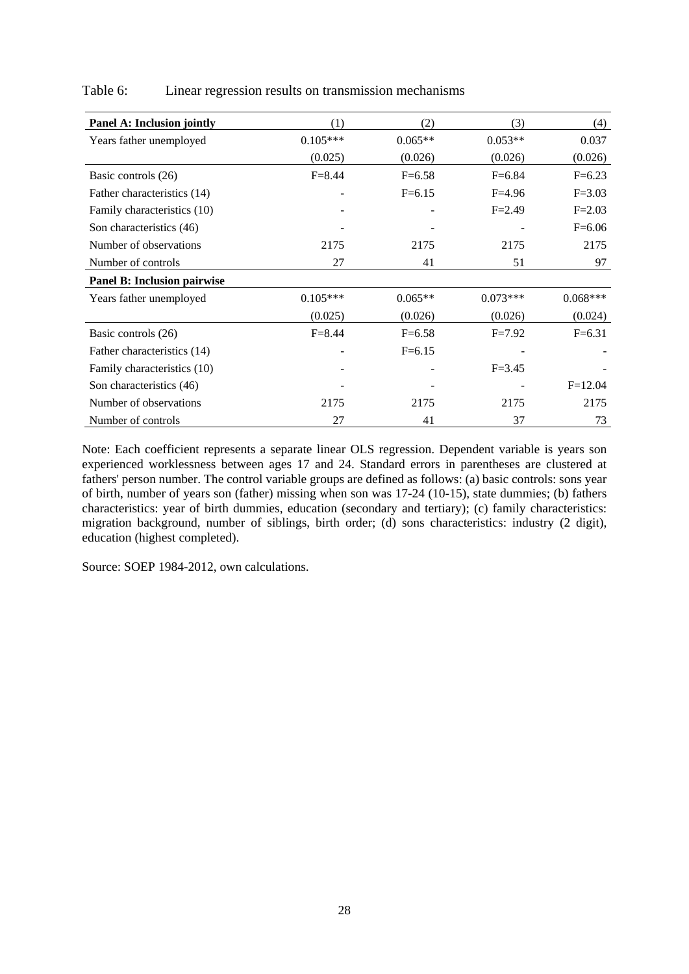| Panel A: Inclusion jointly         | (1)        | (2)       | (3)        | (4)        |
|------------------------------------|------------|-----------|------------|------------|
| Years father unemployed            | $0.105***$ | $0.065**$ | $0.053**$  | 0.037      |
|                                    | (0.025)    | (0.026)   | (0.026)    | (0.026)    |
| Basic controls (26)                | $F = 8.44$ | $F=6.58$  | $F=6.84$   | $F=6.23$   |
| Father characteristics (14)        |            | $F=6.15$  | $F=4.96$   | $F = 3.03$ |
| Family characteristics (10)        |            |           | $F = 2.49$ | $F = 2.03$ |
| Son characteristics (46)           |            |           |            | $F=6.06$   |
| Number of observations             | 2175       | 2175      | 2175       | 2175       |
| Number of controls                 | 27         | 41        | 51         | 97         |
| <b>Panel B: Inclusion pairwise</b> |            |           |            |            |
| Years father unemployed            | $0.105***$ | $0.065**$ | $0.073***$ | $0.068***$ |
|                                    | (0.025)    | (0.026)   | (0.026)    | (0.024)    |
| Basic controls (26)                | $F = 8.44$ | $F=6.58$  | $F = 7.92$ | $F=6.31$   |
| Father characteristics (14)        |            | $F=6.15$  |            |            |
| Family characteristics (10)        |            |           | $F = 3.45$ |            |
| Son characteristics (46)           |            |           |            | $F=12.04$  |
| Number of observations             | 2175       | 2175      | 2175       | 2175       |
| Number of controls                 | 27         | 41        | 37         | 73         |

Table 6: Linear regression results on transmission mechanisms

Note: Each coefficient represents a separate linear OLS regression. Dependent variable is years son experienced worklessness between ages 17 and 24. Standard errors in parentheses are clustered at fathers' person number. The control variable groups are defined as follows: (a) basic controls: sons year of birth, number of years son (father) missing when son was 17-24 (10-15), state dummies; (b) fathers characteristics: year of birth dummies, education (secondary and tertiary); (c) family characteristics: migration background, number of siblings, birth order; (d) sons characteristics: industry (2 digit), education (highest completed).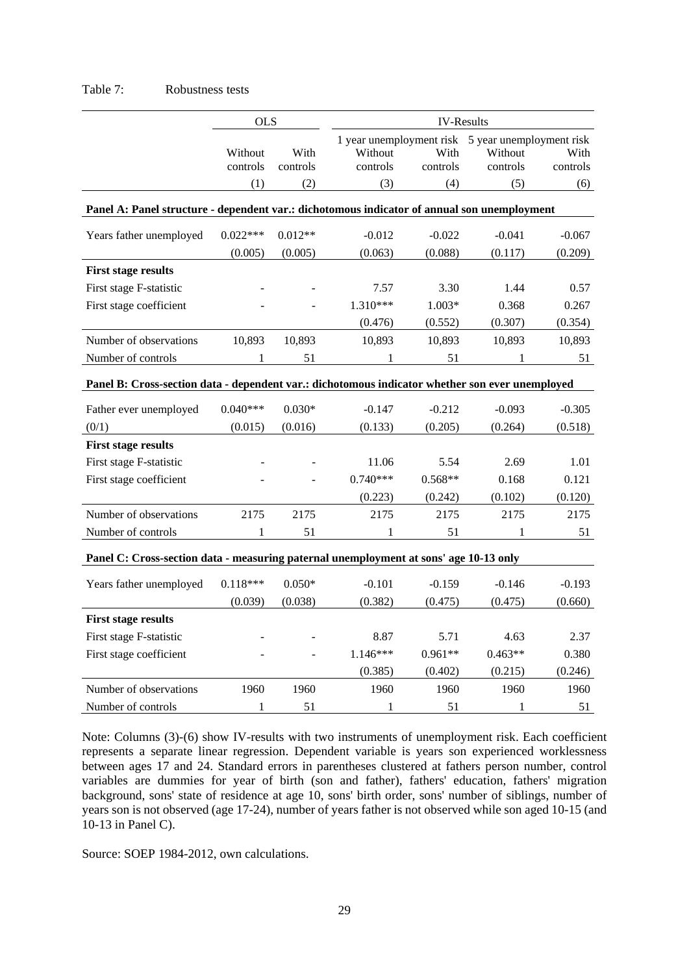#### Table 7: Robustness tests

|                                                                                                 | <b>OLS</b>          |                  | <b>IV-Results</b>   |                  |                                                   |                  |
|-------------------------------------------------------------------------------------------------|---------------------|------------------|---------------------|------------------|---------------------------------------------------|------------------|
|                                                                                                 |                     |                  |                     |                  | 1 year unemployment risk 5 year unemployment risk |                  |
|                                                                                                 | Without<br>controls | With<br>controls | Without<br>controls | With<br>controls | Without<br>controls                               | With<br>controls |
|                                                                                                 | (1)                 | (2)              | (3)                 | (4)              | (5)                                               | (6)              |
|                                                                                                 |                     |                  |                     |                  |                                                   |                  |
| Panel A: Panel structure - dependent var.: dichotomous indicator of annual son unemployment     |                     |                  |                     |                  |                                                   |                  |
| Years father unemployed                                                                         | $0.022***$          | $0.012**$        | $-0.012$            | $-0.022$         | $-0.041$                                          | $-0.067$         |
|                                                                                                 | (0.005)             | (0.005)          | (0.063)             | (0.088)          | (0.117)                                           | (0.209)          |
| <b>First stage results</b>                                                                      |                     |                  |                     |                  |                                                   |                  |
| First stage F-statistic                                                                         |                     |                  | 7.57                | 3.30             | 1.44                                              | 0.57             |
| First stage coefficient                                                                         |                     |                  | $1.310***$          | $1.003*$         | 0.368                                             | 0.267            |
|                                                                                                 |                     |                  | (0.476)             | (0.552)          | (0.307)                                           | (0.354)          |
| Number of observations                                                                          | 10,893              | 10,893           | 10,893              | 10,893           | 10,893                                            | 10,893           |
| Number of controls                                                                              | 1                   | 51               | 1                   | 51               | 1                                                 | 51               |
| Panel B: Cross-section data - dependent var.: dichotomous indicator whether son ever unemployed |                     |                  |                     |                  |                                                   |                  |
| Father ever unemployed                                                                          | $0.040***$          | $0.030*$         | $-0.147$            | $-0.212$         | $-0.093$                                          | $-0.305$         |
| (0/1)                                                                                           | (0.015)             | (0.016)          | (0.133)             | (0.205)          | (0.264)                                           | (0.518)          |
| <b>First stage results</b>                                                                      |                     |                  |                     |                  |                                                   |                  |
| First stage F-statistic                                                                         |                     |                  | 11.06               | 5.54             | 2.69                                              | 1.01             |
| First stage coefficient                                                                         |                     |                  | $0.740***$          | $0.568**$        | 0.168                                             | 0.121            |
|                                                                                                 |                     |                  | (0.223)             | (0.242)          | (0.102)                                           | (0.120)          |
| Number of observations                                                                          | 2175                | 2175             | 2175                | 2175             | 2175                                              | 2175             |
| Number of controls                                                                              | $\mathbf{1}$        | 51               | 1                   | 51               | 1                                                 | 51               |
| Panel C: Cross-section data - measuring paternal unemployment at sons' age 10-13 only           |                     |                  |                     |                  |                                                   |                  |
| Years father unemployed                                                                         | $0.118***$          | $0.050*$         | $-0.101$            | $-0.159$         | $-0.146$                                          | $-0.193$         |
|                                                                                                 | (0.039)             | (0.038)          | (0.382)             | (0.475)          | (0.475)                                           | (0.660)          |
| <b>First stage results</b>                                                                      |                     |                  |                     |                  |                                                   |                  |
| First stage F-statistic                                                                         |                     |                  | 8.87                | 5.71             | 4.63                                              | 2.37             |
| First stage coefficient                                                                         |                     |                  | $1.146***$          | $0.961**$        | $0.463**$                                         | 0.380            |
|                                                                                                 |                     |                  | (0.385)             | (0.402)          | (0.215)                                           | (0.246)          |
| Number of observations                                                                          | 1960                | 1960             | 1960                | 1960             | 1960                                              | 1960             |
| Number of controls                                                                              | $\mathbf{1}$        | 51               | $\mathbf{1}$        | 51               | $\mathbf{1}$                                      | 51               |

Note: Columns (3)-(6) show IV-results with two instruments of unemployment risk. Each coefficient represents a separate linear regression. Dependent variable is years son experienced worklessness between ages 17 and 24. Standard errors in parentheses clustered at fathers person number, control variables are dummies for year of birth (son and father), fathers' education, fathers' migration background, sons' state of residence at age 10, sons' birth order, sons' number of siblings, number of years son is not observed (age 17-24), number of years father is not observed while son aged 10-15 (and 10-13 in Panel C).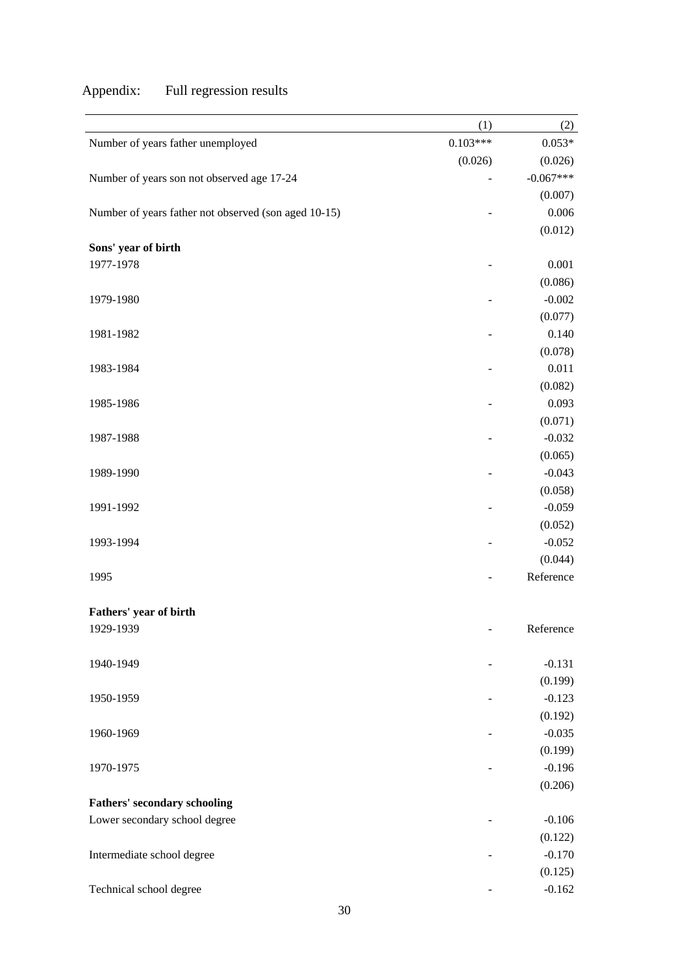# Appendix: Full regression results

|                                                      | (1)        | (2)         |
|------------------------------------------------------|------------|-------------|
| Number of years father unemployed                    | $0.103***$ | $0.053*$    |
|                                                      | (0.026)    | (0.026)     |
| Number of years son not observed age 17-24           |            | $-0.067***$ |
|                                                      |            | (0.007)     |
| Number of years father not observed (son aged 10-15) |            | 0.006       |
|                                                      |            | (0.012)     |
| Sons' year of birth                                  |            |             |
| 1977-1978                                            |            | 0.001       |
|                                                      |            | (0.086)     |
| 1979-1980                                            |            | $-0.002$    |
|                                                      |            | (0.077)     |
| 1981-1982                                            |            | 0.140       |
|                                                      |            | (0.078)     |
| 1983-1984                                            |            | 0.011       |
|                                                      |            | (0.082)     |
| 1985-1986                                            |            | 0.093       |
|                                                      |            | (0.071)     |
| 1987-1988                                            |            | $-0.032$    |
|                                                      |            | (0.065)     |
| 1989-1990                                            |            | $-0.043$    |
|                                                      |            | (0.058)     |
| 1991-1992                                            |            | $-0.059$    |
|                                                      |            | (0.052)     |
| 1993-1994                                            |            | $-0.052$    |
|                                                      |            | (0.044)     |
| 1995                                                 |            | Reference   |
|                                                      |            |             |
| Fathers' year of birth                               |            |             |
| 1929-1939                                            |            | Reference   |
|                                                      |            |             |
| 1940-1949                                            |            | $-0.131$    |
|                                                      |            | (0.199)     |
| 1950-1959                                            |            | $-0.123$    |
|                                                      |            | (0.192)     |
| 1960-1969                                            |            | $-0.035$    |
|                                                      |            | (0.199)     |
| 1970-1975                                            |            | $-0.196$    |
|                                                      |            | (0.206)     |
| <b>Fathers' secondary schooling</b>                  |            |             |
| Lower secondary school degree                        |            | $-0.106$    |
|                                                      |            | (0.122)     |
| Intermediate school degree                           |            | $-0.170$    |
|                                                      |            | (0.125)     |
| Technical school degree                              |            | $-0.162$    |
|                                                      |            |             |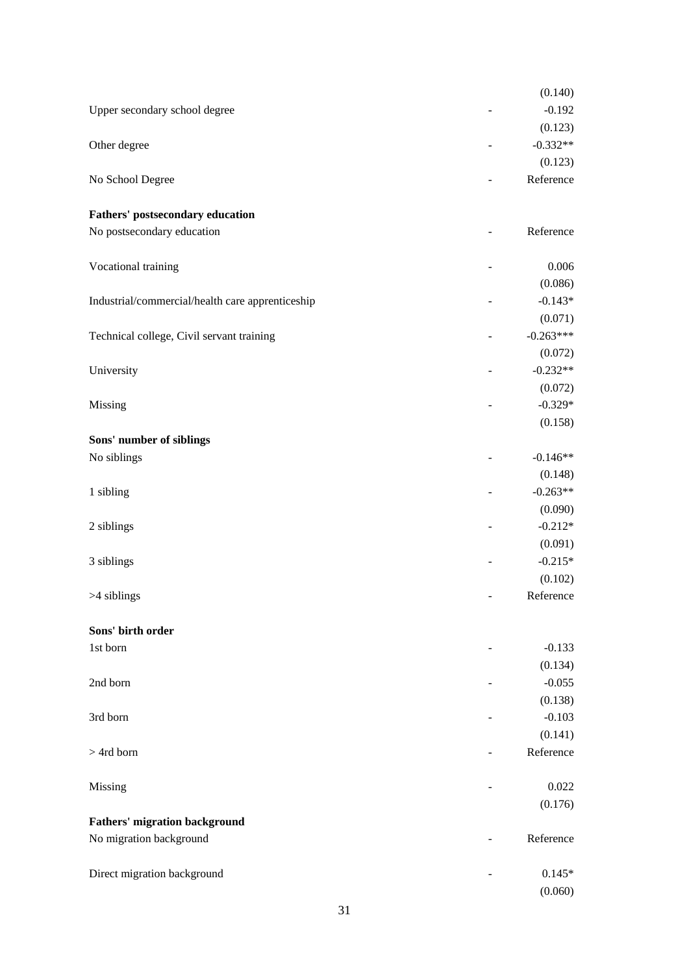|                                                  | (0.140)     |
|--------------------------------------------------|-------------|
| Upper secondary school degree                    | $-0.192$    |
|                                                  | (0.123)     |
| Other degree                                     | $-0.332**$  |
|                                                  | (0.123)     |
| No School Degree                                 | Reference   |
| Fathers' postsecondary education                 |             |
| No postsecondary education                       | Reference   |
| Vocational training                              | 0.006       |
|                                                  | (0.086)     |
| Industrial/commercial/health care apprenticeship | $-0.143*$   |
|                                                  | (0.071)     |
| Technical college, Civil servant training        | $-0.263***$ |
|                                                  | (0.072)     |
| University                                       | $-0.232**$  |
|                                                  | (0.072)     |
| Missing                                          | $-0.329*$   |
|                                                  | (0.158)     |
| Sons' number of siblings                         |             |
| No siblings                                      | $-0.146**$  |
|                                                  | (0.148)     |
| 1 sibling                                        | $-0.263**$  |
|                                                  | (0.090)     |
| 2 siblings                                       | $-0.212*$   |
|                                                  | (0.091)     |
| 3 siblings                                       | $-0.215*$   |
|                                                  | (0.102)     |
| $>4$ siblings                                    | Reference   |
| Sons' birth order                                |             |
| 1st born                                         | $-0.133$    |
|                                                  | (0.134)     |
| 2nd born                                         | $-0.055$    |
|                                                  | (0.138)     |
| 3rd born                                         | $-0.103$    |
|                                                  | (0.141)     |
| $>4$ rd born                                     | Reference   |
| Missing                                          | 0.022       |
|                                                  | (0.176)     |
| <b>Fathers' migration background</b>             |             |
| No migration background                          | Reference   |
|                                                  |             |
| Direct migration background                      | $0.145*$    |
|                                                  | (0.060)     |